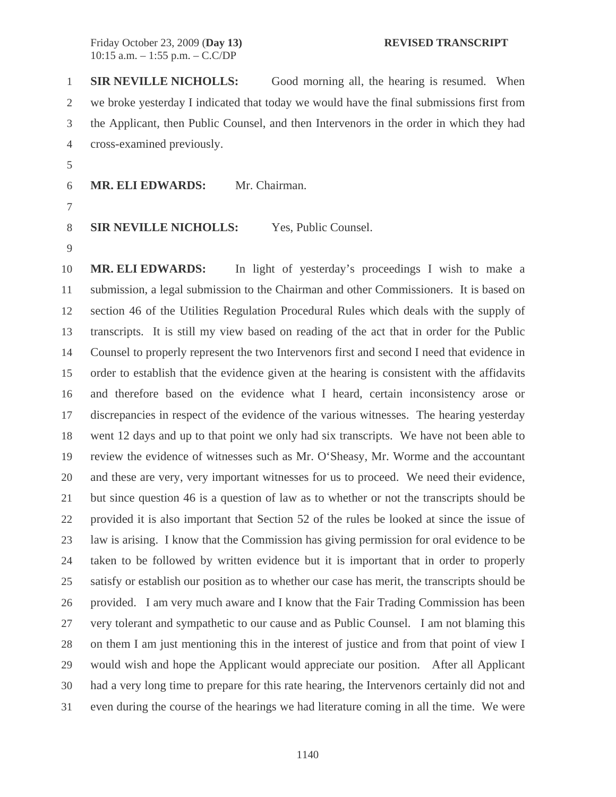1 **SIR NEVILLE NICHOLLS:** Good morning all, the hearing is resumed. When 2 we broke yesterday I indicated that today we would have the final submissions first from 3 the Applicant, then Public Counsel, and then Intervenors in the order in which they had 4 cross-examined previously.

5

6 **MR. ELI EDWARDS:** Mr. Chairman.

7

8 **SIR NEVILLE NICHOLLS:** Yes, Public Counsel. 9

10 **MR. ELI EDWARDS:** In light of yesterday's proceedings I wish to make a 11 submission, a legal submission to the Chairman and other Commissioners. It is based on 12 section 46 of the Utilities Regulation Procedural Rules which deals with the supply of 13 transcripts. It is still my view based on reading of the act that in order for the Public 14 Counsel to properly represent the two Intervenors first and second I need that evidence in 15 order to establish that the evidence given at the hearing is consistent with the affidavits 16 and therefore based on the evidence what I heard, certain inconsistency arose or 17 discrepancies in respect of the evidence of the various witnesses. The hearing yesterday 18 went 12 days and up to that point we only had six transcripts. We have not been able to 19 review the evidence of witnesses such as Mr. O'Sheasy, Mr. Worme and the accountant 20 and these are very, very important witnesses for us to proceed. We need their evidence, 21 but since question 46 is a question of law as to whether or not the transcripts should be 22 provided it is also important that Section 52 of the rules be looked at since the issue of 23 law is arising. I know that the Commission has giving permission for oral evidence to be 24 taken to be followed by written evidence but it is important that in order to properly 25 satisfy or establish our position as to whether our case has merit, the transcripts should be 26 provided. I am very much aware and I know that the Fair Trading Commission has been 27 very tolerant and sympathetic to our cause and as Public Counsel. I am not blaming this 28 on them I am just mentioning this in the interest of justice and from that point of view I 29 would wish and hope the Applicant would appreciate our position. After all Applicant 30 had a very long time to prepare for this rate hearing, the Intervenors certainly did not and 31 even during the course of the hearings we had literature coming in all the time. We were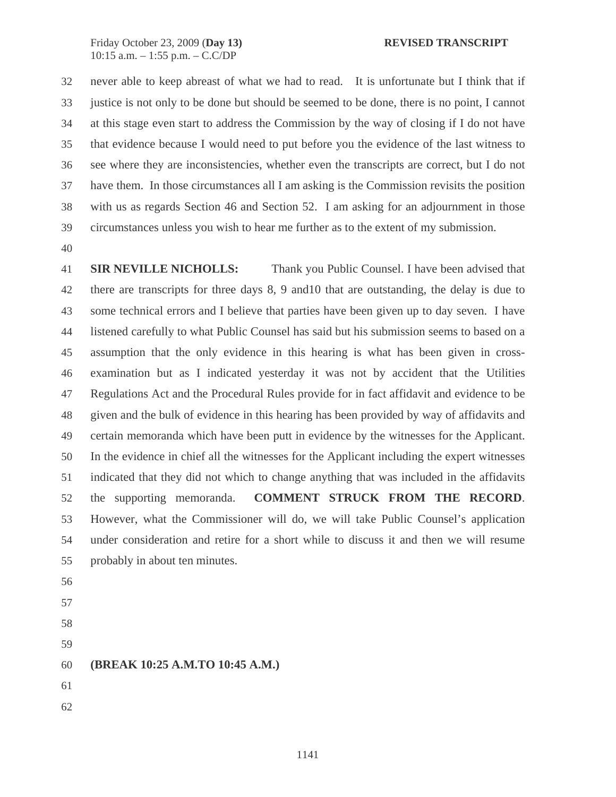32 never able to keep abreast of what we had to read. It is unfortunate but I think that if 33 justice is not only to be done but should be seemed to be done, there is no point, I cannot 34 at this stage even start to address the Commission by the way of closing if I do not have 35 that evidence because I would need to put before you the evidence of the last witness to 36 see where they are inconsistencies, whether even the transcripts are correct, but I do not 37 have them. In those circumstances all I am asking is the Commission revisits the position 38 with us as regards Section 46 and Section 52. I am asking for an adjournment in those 39 circumstances unless you wish to hear me further as to the extent of my submission.

40

41 **SIR NEVILLE NICHOLLS:** Thank you Public Counsel. I have been advised that 42 there are transcripts for three days 8, 9 and10 that are outstanding, the delay is due to 43 some technical errors and I believe that parties have been given up to day seven. I have 44 listened carefully to what Public Counsel has said but his submission seems to based on a 45 assumption that the only evidence in this hearing is what has been given in cross-46 examination but as I indicated yesterday it was not by accident that the Utilities 47 Regulations Act and the Procedural Rules provide for in fact affidavit and evidence to be 48 given and the bulk of evidence in this hearing has been provided by way of affidavits and 49 certain memoranda which have been putt in evidence by the witnesses for the Applicant. 50 In the evidence in chief all the witnesses for the Applicant including the expert witnesses 51 indicated that they did not which to change anything that was included in the affidavits 52 the supporting memoranda. **COMMENT STRUCK FROM THE RECORD**. 53 However, what the Commissioner will do, we will take Public Counsel's application 54 under consideration and retire for a short while to discuss it and then we will resume 55 probably in about ten minutes.

- 56
- 57
- 58
- 59
- 60 **(BREAK 10:25 A.M.TO 10:45 A.M.)**
- 61
- 62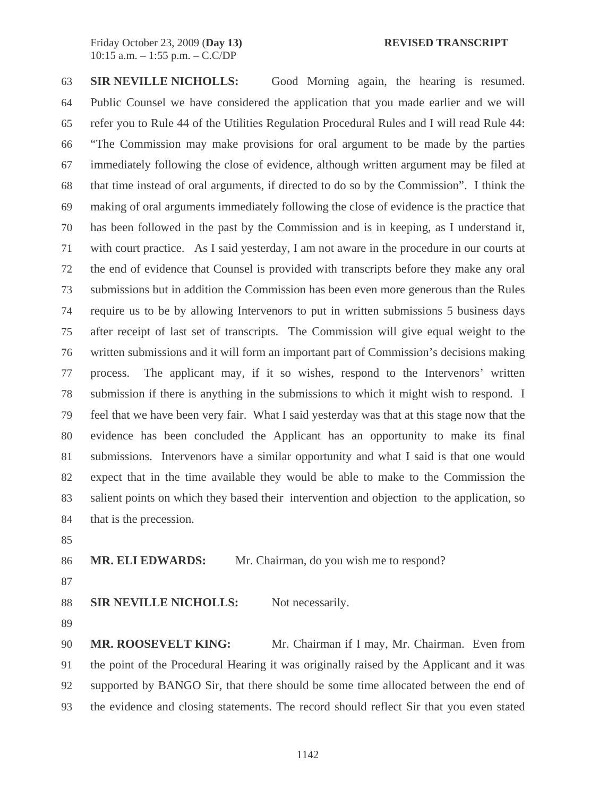63 **SIR NEVILLE NICHOLLS:** Good Morning again, the hearing is resumed. 64 Public Counsel we have considered the application that you made earlier and we will 65 refer you to Rule 44 of the Utilities Regulation Procedural Rules and I will read Rule 44: 66 "The Commission may make provisions for oral argument to be made by the parties 67 immediately following the close of evidence, although written argument may be filed at 68 that time instead of oral arguments, if directed to do so by the Commission". I think the 69 making of oral arguments immediately following the close of evidence is the practice that 70 has been followed in the past by the Commission and is in keeping, as I understand it, 71 with court practice. As I said yesterday, I am not aware in the procedure in our courts at 72 the end of evidence that Counsel is provided with transcripts before they make any oral 73 submissions but in addition the Commission has been even more generous than the Rules 74 require us to be by allowing Intervenors to put in written submissions 5 business days 75 after receipt of last set of transcripts. The Commission will give equal weight to the 76 written submissions and it will form an important part of Commission's decisions making 77 process. The applicant may, if it so wishes, respond to the Intervenors' written 78 submission if there is anything in the submissions to which it might wish to respond. I 79 feel that we have been very fair. What I said yesterday was that at this stage now that the 80 evidence has been concluded the Applicant has an opportunity to make its final 81 submissions. Intervenors have a similar opportunity and what I said is that one would 82 expect that in the time available they would be able to make to the Commission the 83 salient points on which they based their intervention and objection to the application, so 84 that is the precession.

85

86 **MR. ELI EDWARDS:** Mr. Chairman, do you wish me to respond?

87

88 **SIR NEVILLE NICHOLLS:** Not necessarily.

89

90 MR. ROOSEVELT KING: Mr. Chairman if I may, Mr. Chairman. Even from 91 the point of the Procedural Hearing it was originally raised by the Applicant and it was 92 supported by BANGO Sir, that there should be some time allocated between the end of 93 the evidence and closing statements. The record should reflect Sir that you even stated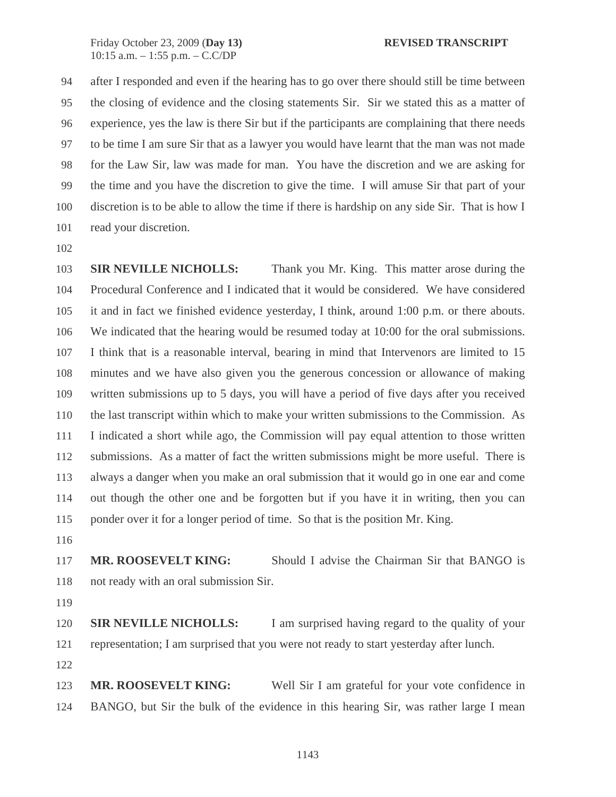94 after I responded and even if the hearing has to go over there should still be time between 95 the closing of evidence and the closing statements Sir. Sir we stated this as a matter of 96 experience, yes the law is there Sir but if the participants are complaining that there needs 97 to be time I am sure Sir that as a lawyer you would have learnt that the man was not made 98 for the Law Sir, law was made for man. You have the discretion and we are asking for 99 the time and you have the discretion to give the time. I will amuse Sir that part of your 100 discretion is to be able to allow the time if there is hardship on any side Sir. That is how I 101 read your discretion.

102

103 **SIR NEVILLE NICHOLLS:** Thank you Mr. King. This matter arose during the 104 Procedural Conference and I indicated that it would be considered. We have considered 105 it and in fact we finished evidence yesterday, I think, around 1:00 p.m. or there abouts. 106 We indicated that the hearing would be resumed today at 10:00 for the oral submissions. 107 I think that is a reasonable interval, bearing in mind that Intervenors are limited to 15 108 minutes and we have also given you the generous concession or allowance of making 109 written submissions up to 5 days, you will have a period of five days after you received 110 the last transcript within which to make your written submissions to the Commission. As 111 I indicated a short while ago, the Commission will pay equal attention to those written 112 submissions. As a matter of fact the written submissions might be more useful. There is 113 always a danger when you make an oral submission that it would go in one ear and come 114 out though the other one and be forgotten but if you have it in writing, then you can 115 ponder over it for a longer period of time. So that is the position Mr. King.

116

117 **MR. ROOSEVELT KING:** Should I advise the Chairman Sir that BANGO is 118 not ready with an oral submission Sir.

119

120 **SIR NEVILLE NICHOLLS:** I am surprised having regard to the quality of your 121 representation; I am surprised that you were not ready to start yesterday after lunch.

122

123 **MR. ROOSEVELT KING:** Well Sir I am grateful for your vote confidence in 124 BANGO, but Sir the bulk of the evidence in this hearing Sir, was rather large I mean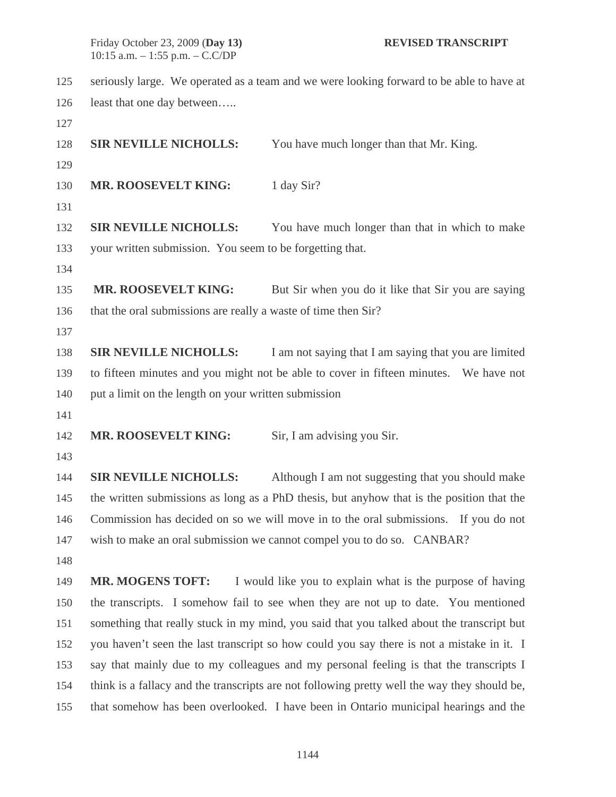- 125 seriously large. We operated as a team and we were looking forward to be able to have at 126 least that one day between.....
- 127

128 **SIR NEVILLE NICHOLLS:** You have much longer than that Mr. King.

129

130 **MR. ROOSEVELT KING:** 1 day Sir?

131

132 **SIR NEVILLE NICHOLLS:** You have much longer than that in which to make 133 your written submission. You seem to be forgetting that.

134

135 **MR. ROOSEVELT KING:** But Sir when you do it like that Sir you are saying 136 that the oral submissions are really a waste of time then Sir?

137

138 **SIR NEVILLE NICHOLLS:** I am not saying that I am saying that you are limited 139 to fifteen minutes and you might not be able to cover in fifteen minutes. We have not 140 put a limit on the length on your written submission

141

142 **MR. ROOSEVELT KING:** Sir, I am advising you Sir.

143

144 **SIR NEVILLE NICHOLLS:** Although I am not suggesting that you should make 145 the written submissions as long as a PhD thesis, but anyhow that is the position that the 146 Commission has decided on so we will move in to the oral submissions. If you do not 147 wish to make an oral submission we cannot compel you to do so. CANBAR?

148

149 **MR. MOGENS TOFT:** I would like you to explain what is the purpose of having 150 the transcripts. I somehow fail to see when they are not up to date. You mentioned 151 something that really stuck in my mind, you said that you talked about the transcript but 152 you haven't seen the last transcript so how could you say there is not a mistake in it. I 153 say that mainly due to my colleagues and my personal feeling is that the transcripts I 154 think is a fallacy and the transcripts are not following pretty well the way they should be, 155 that somehow has been overlooked. I have been in Ontario municipal hearings and the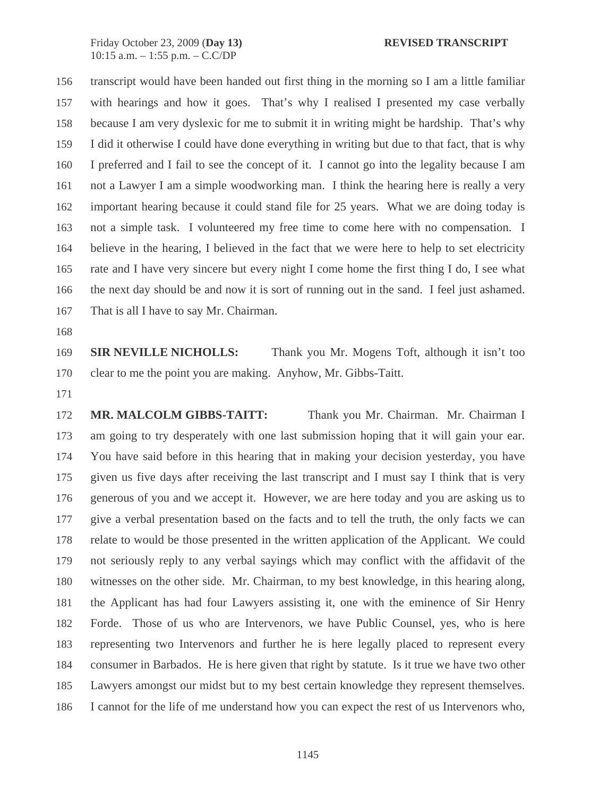156 transcript would have been handed out first thing in the morning so I am a little familiar 157 with hearings and how it goes. That's why I realised I presented my case verbally 158 because I am very dyslexic for me to submit it in writing might be hardship. That's why 159 I did it otherwise I could have done everything in writing but due to that fact, that is why 160 I preferred and I fail to see the concept of it. I cannot go into the legality because I am 161 not a Lawyer I am a simple woodworking man. I think the hearing here is really a very 162 important hearing because it could stand file for 25 years. What we are doing today is 163 not a simple task. I volunteered my free time to come here with no compensation. I 164 believe in the hearing, I believed in the fact that we were here to help to set electricity 165 rate and I have very sincere but every night I come home the first thing I do, I see what 166 the next day should be and now it is sort of running out in the sand. I feel just ashamed. 167 That is all I have to say Mr. Chairman.

168

169 **SIR NEVILLE NICHOLLS:** Thank you Mr. Mogens Toft, although it isn't too 170 clear to me the point you are making. Anyhow, Mr. Gibbs-Taitt.

171

172 **MR. MALCOLM GIBBS-TAITT:** Thank you Mr. Chairman. Mr. Chairman I 173 am going to try desperately with one last submission hoping that it will gain your ear. 174 You have said before in this hearing that in making your decision yesterday, you have 175 given us five days after receiving the last transcript and I must say I think that is very 176 generous of you and we accept it. However, we are here today and you are asking us to 177 give a verbal presentation based on the facts and to tell the truth, the only facts we can 178 relate to would be those presented in the written application of the Applicant. We could 179 not seriously reply to any verbal sayings which may conflict with the affidavit of the 180 witnesses on the other side. Mr. Chairman, to my best knowledge, in this hearing along, 181 the Applicant has had four Lawyers assisting it, one with the eminence of Sir Henry 182 Forde. Those of us who are Intervenors, we have Public Counsel, yes, who is here 183 representing two Intervenors and further he is here legally placed to represent every 184 consumer in Barbados. He is here given that right by statute. Is it true we have two other 185 Lawyers amongst our midst but to my best certain knowledge they represent themselves. 186 I cannot for the life of me understand how you can expect the rest of us Intervenors who,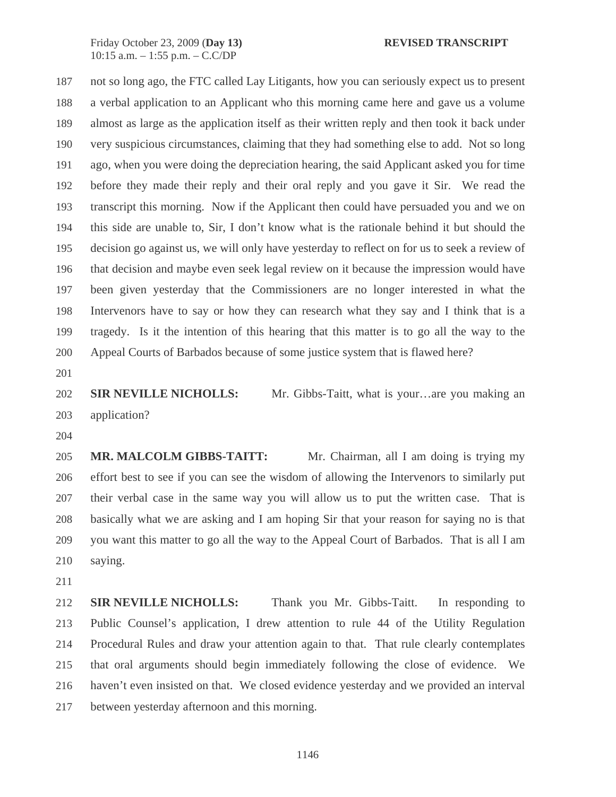187 not so long ago, the FTC called Lay Litigants, how you can seriously expect us to present 188 a verbal application to an Applicant who this morning came here and gave us a volume 189 almost as large as the application itself as their written reply and then took it back under 190 very suspicious circumstances, claiming that they had something else to add. Not so long 191 ago, when you were doing the depreciation hearing, the said Applicant asked you for time 192 before they made their reply and their oral reply and you gave it Sir. We read the 193 transcript this morning. Now if the Applicant then could have persuaded you and we on 194 this side are unable to, Sir, I don't know what is the rationale behind it but should the 195 decision go against us, we will only have yesterday to reflect on for us to seek a review of 196 that decision and maybe even seek legal review on it because the impression would have 197 been given yesterday that the Commissioners are no longer interested in what the 198 Intervenors have to say or how they can research what they say and I think that is a 199 tragedy. Is it the intention of this hearing that this matter is to go all the way to the 200 Appeal Courts of Barbados because of some justice system that is flawed here?

201

202 **SIR NEVILLE NICHOLLS:** Mr. Gibbs-Taitt, what is your…are you making an 203 application?

204

205 **MR. MALCOLM GIBBS-TAITT:** Mr. Chairman, all I am doing is trying my 206 effort best to see if you can see the wisdom of allowing the Intervenors to similarly put 207 their verbal case in the same way you will allow us to put the written case. That is 208 basically what we are asking and I am hoping Sir that your reason for saying no is that 209 you want this matter to go all the way to the Appeal Court of Barbados. That is all I am 210 saying.

211

212 **SIR NEVILLE NICHOLLS:** Thank you Mr. Gibbs-Taitt. In responding to 213 Public Counsel's application, I drew attention to rule 44 of the Utility Regulation 214 Procedural Rules and draw your attention again to that. That rule clearly contemplates 215 that oral arguments should begin immediately following the close of evidence. We 216 haven't even insisted on that. We closed evidence yesterday and we provided an interval 217 between yesterday afternoon and this morning.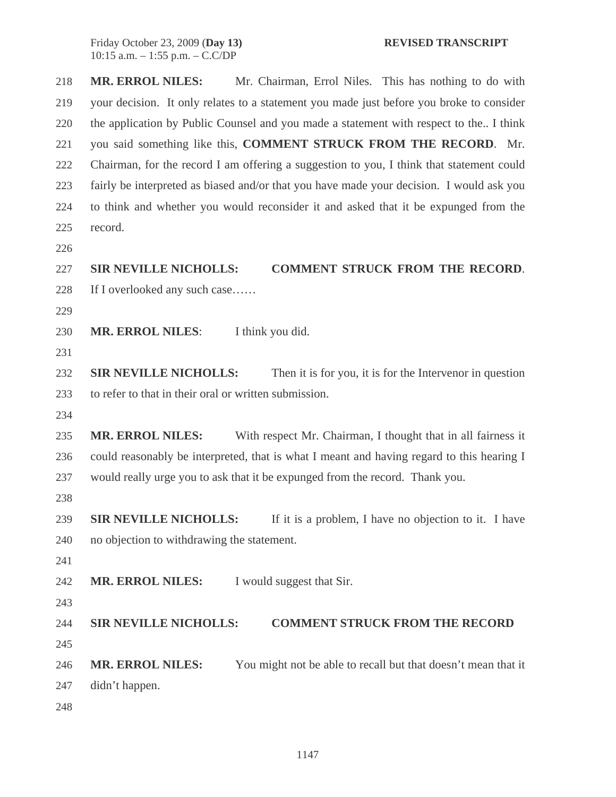218 **MR. ERROL NILES:** Mr. Chairman, Errol Niles. This has nothing to do with 219 your decision. It only relates to a statement you made just before you broke to consider 220 the application by Public Counsel and you made a statement with respect to the.. I think 221 you said something like this, **COMMENT STRUCK FROM THE RECORD**. Mr. 222 Chairman, for the record I am offering a suggestion to you, I think that statement could 223 fairly be interpreted as biased and/or that you have made your decision. I would ask you 224 to think and whether you would reconsider it and asked that it be expunged from the 225 record. 226 227 **SIR NEVILLE NICHOLLS: COMMENT STRUCK FROM THE RECORD**. 228 If I overlooked any such case…… 229 230 **MR. ERROL NILES**: I think you did. 231 232 **SIR NEVILLE NICHOLLS:** Then it is for you, it is for the Intervenor in question 233 to refer to that in their oral or written submission. 234 235 **MR. ERROL NILES:** With respect Mr. Chairman, I thought that in all fairness it 236 could reasonably be interpreted, that is what I meant and having regard to this hearing I 237 would really urge you to ask that it be expunged from the record. Thank you. 238 239 **SIR NEVILLE NICHOLLS:** If it is a problem, I have no objection to it. I have 240 no objection to withdrawing the statement. 241 242 **MR. ERROL NILES:** I would suggest that Sir. 243 244 **SIR NEVILLE NICHOLLS: COMMENT STRUCK FROM THE RECORD**  245 246 **MR. ERROL NILES:** You might not be able to recall but that doesn't mean that it 247 didn't happen. 248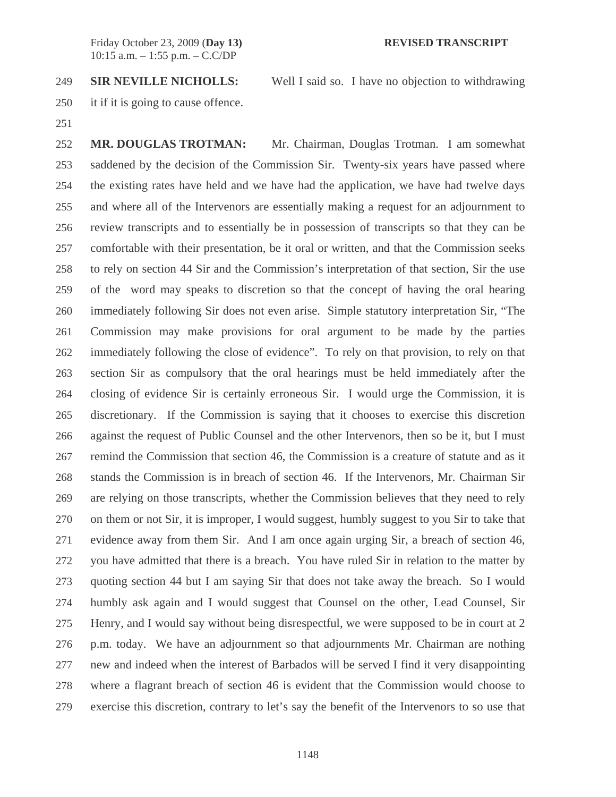249 **SIR NEVILLE NICHOLLS:** Well I said so. I have no objection to withdrawing

- 250 it if it is going to cause offence.
- 251

252 **MR. DOUGLAS TROTMAN:** Mr. Chairman, Douglas Trotman. I am somewhat 253 saddened by the decision of the Commission Sir. Twenty-six years have passed where 254 the existing rates have held and we have had the application, we have had twelve days 255 and where all of the Intervenors are essentially making a request for an adjournment to 256 review transcripts and to essentially be in possession of transcripts so that they can be 257 comfortable with their presentation, be it oral or written, and that the Commission seeks 258 to rely on section 44 Sir and the Commission's interpretation of that section, Sir the use 259 of the word may speaks to discretion so that the concept of having the oral hearing 260 immediately following Sir does not even arise. Simple statutory interpretation Sir, "The 261 Commission may make provisions for oral argument to be made by the parties 262 immediately following the close of evidence". To rely on that provision, to rely on that 263 section Sir as compulsory that the oral hearings must be held immediately after the 264 closing of evidence Sir is certainly erroneous Sir. I would urge the Commission, it is 265 discretionary. If the Commission is saying that it chooses to exercise this discretion 266 against the request of Public Counsel and the other Intervenors, then so be it, but I must 267 remind the Commission that section 46, the Commission is a creature of statute and as it 268 stands the Commission is in breach of section 46. If the Intervenors, Mr. Chairman Sir 269 are relying on those transcripts, whether the Commission believes that they need to rely 270 on them or not Sir, it is improper, I would suggest, humbly suggest to you Sir to take that 271 evidence away from them Sir. And I am once again urging Sir, a breach of section 46, 272 you have admitted that there is a breach. You have ruled Sir in relation to the matter by 273 quoting section 44 but I am saying Sir that does not take away the breach. So I would 274 humbly ask again and I would suggest that Counsel on the other, Lead Counsel, Sir 275 Henry, and I would say without being disrespectful, we were supposed to be in court at 2 276 p.m. today. We have an adjournment so that adjournments Mr. Chairman are nothing 277 new and indeed when the interest of Barbados will be served I find it very disappointing 278 where a flagrant breach of section 46 is evident that the Commission would choose to 279 exercise this discretion, contrary to let's say the benefit of the Intervenors to so use that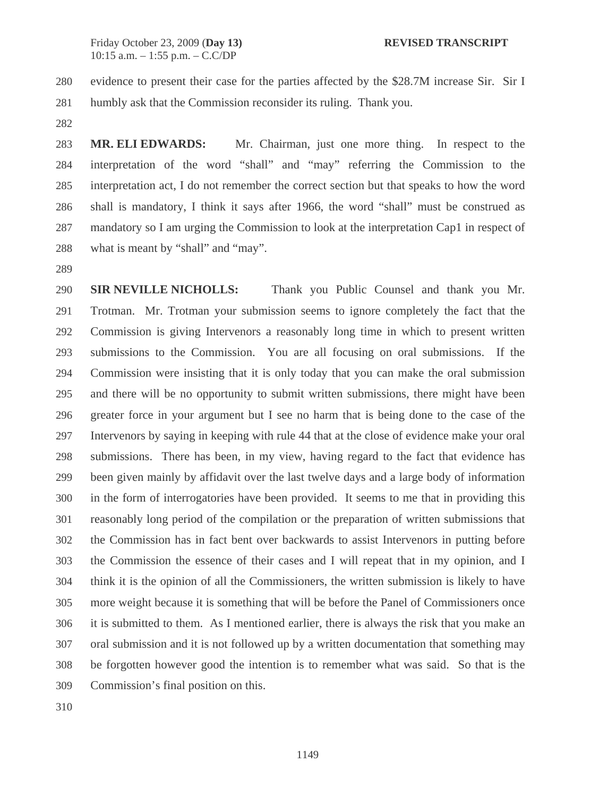280 evidence to present their case for the parties affected by the \$28.7M increase Sir. Sir I 281 humbly ask that the Commission reconsider its ruling. Thank you.

282

283 **MR. ELI EDWARDS:** Mr. Chairman, just one more thing. In respect to the 284 interpretation of the word "shall" and "may" referring the Commission to the 285 interpretation act, I do not remember the correct section but that speaks to how the word 286 shall is mandatory, I think it says after 1966, the word "shall" must be construed as 287 mandatory so I am urging the Commission to look at the interpretation Cap1 in respect of 288 what is meant by "shall" and "may".

289

290 **SIR NEVILLE NICHOLLS:** Thank you Public Counsel and thank you Mr. 291 Trotman. Mr. Trotman your submission seems to ignore completely the fact that the 292 Commission is giving Intervenors a reasonably long time in which to present written 293 submissions to the Commission. You are all focusing on oral submissions. If the 294 Commission were insisting that it is only today that you can make the oral submission 295 and there will be no opportunity to submit written submissions, there might have been 296 greater force in your argument but I see no harm that is being done to the case of the 297 Intervenors by saying in keeping with rule 44 that at the close of evidence make your oral 298 submissions. There has been, in my view, having regard to the fact that evidence has 299 been given mainly by affidavit over the last twelve days and a large body of information 300 in the form of interrogatories have been provided. It seems to me that in providing this 301 reasonably long period of the compilation or the preparation of written submissions that 302 the Commission has in fact bent over backwards to assist Intervenors in putting before 303 the Commission the essence of their cases and I will repeat that in my opinion, and I 304 think it is the opinion of all the Commissioners, the written submission is likely to have 305 more weight because it is something that will be before the Panel of Commissioners once 306 it is submitted to them. As I mentioned earlier, there is always the risk that you make an 307 oral submission and it is not followed up by a written documentation that something may 308 be forgotten however good the intention is to remember what was said. So that is the 309 Commission's final position on this.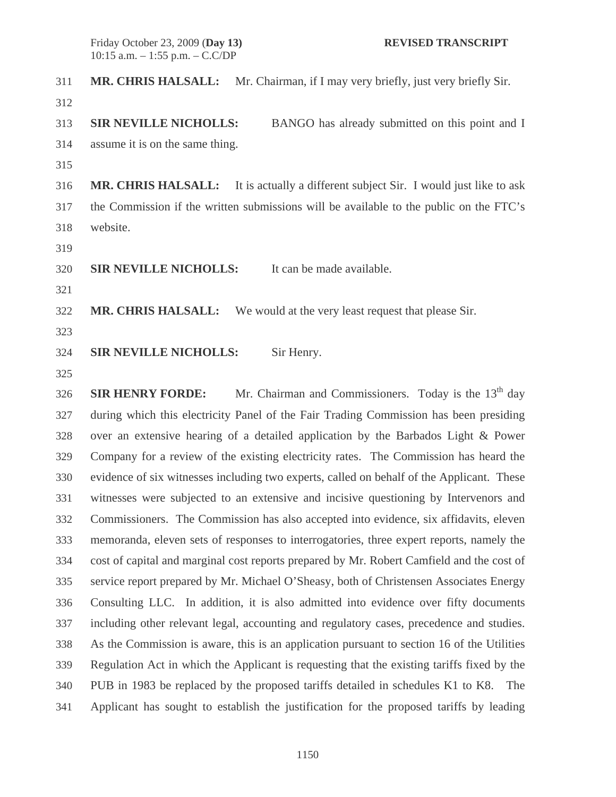311 **MR. CHRIS HALSALL:** Mr. Chairman, if I may very briefly, just very briefly Sir. 312 313 **SIR NEVILLE NICHOLLS:** BANGO has already submitted on this point and I 314 assume it is on the same thing. 315 316 **MR. CHRIS HALSALL:** It is actually a different subject Sir. I would just like to ask 317 the Commission if the written submissions will be available to the public on the FTC's 318 website. 319 320 **SIR NEVILLE NICHOLLS:** It can be made available. 321 322 **MR. CHRIS HALSALL:** We would at the very least request that please Sir. 323 324 **SIR NEVILLE NICHOLLS:** Sir Henry.

325

326 **SIR HENRY FORDE:** Mr. Chairman and Commissioners. Today is the 13<sup>th</sup> day 327 during which this electricity Panel of the Fair Trading Commission has been presiding 328 over an extensive hearing of a detailed application by the Barbados Light & Power 329 Company for a review of the existing electricity rates. The Commission has heard the 330 evidence of six witnesses including two experts, called on behalf of the Applicant. These 331 witnesses were subjected to an extensive and incisive questioning by Intervenors and 332 Commissioners. The Commission has also accepted into evidence, six affidavits, eleven 333 memoranda, eleven sets of responses to interrogatories, three expert reports, namely the 334 cost of capital and marginal cost reports prepared by Mr. Robert Camfield and the cost of 335 service report prepared by Mr. Michael O'Sheasy, both of Christensen Associates Energy 336 Consulting LLC. In addition, it is also admitted into evidence over fifty documents 337 including other relevant legal, accounting and regulatory cases, precedence and studies. 338 As the Commission is aware, this is an application pursuant to section 16 of the Utilities 339 Regulation Act in which the Applicant is requesting that the existing tariffs fixed by the 340 PUB in 1983 be replaced by the proposed tariffs detailed in schedules K1 to K8. The 341 Applicant has sought to establish the justification for the proposed tariffs by leading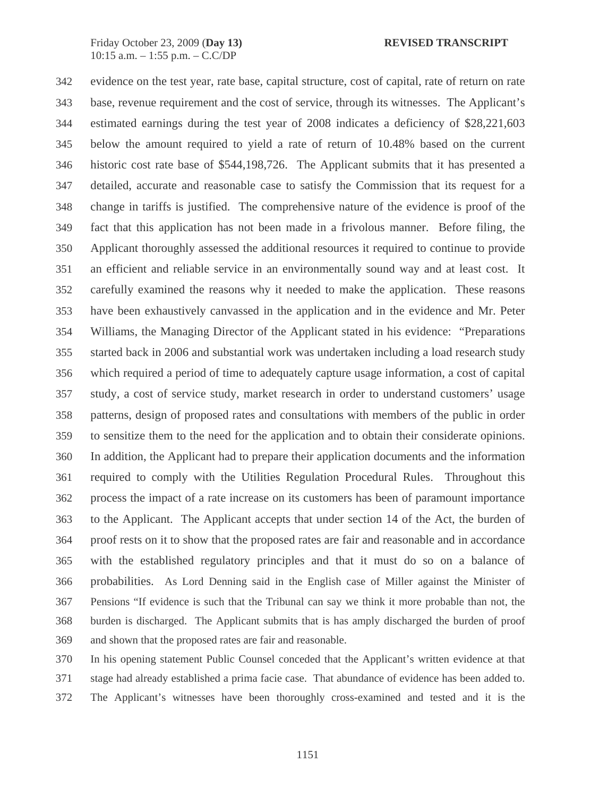342 evidence on the test year, rate base, capital structure, cost of capital, rate of return on rate 343 base, revenue requirement and the cost of service, through its witnesses. The Applicant's 344 estimated earnings during the test year of 2008 indicates a deficiency of \$28,221,603 345 below the amount required to yield a rate of return of 10.48% based on the current 346 historic cost rate base of \$544,198,726. The Applicant submits that it has presented a 347 detailed, accurate and reasonable case to satisfy the Commission that its request for a 348 change in tariffs is justified. The comprehensive nature of the evidence is proof of the 349 fact that this application has not been made in a frivolous manner. Before filing, the 350 Applicant thoroughly assessed the additional resources it required to continue to provide 351 an efficient and reliable service in an environmentally sound way and at least cost. It 352 carefully examined the reasons why it needed to make the application. These reasons 353 have been exhaustively canvassed in the application and in the evidence and Mr. Peter 354 Williams, the Managing Director of the Applicant stated in his evidence: "Preparations 355 started back in 2006 and substantial work was undertaken including a load research study 356 which required a period of time to adequately capture usage information, a cost of capital 357 study, a cost of service study, market research in order to understand customers' usage 358 patterns, design of proposed rates and consultations with members of the public in order 359 to sensitize them to the need for the application and to obtain their considerate opinions. 360 In addition, the Applicant had to prepare their application documents and the information 361 required to comply with the Utilities Regulation Procedural Rules. Throughout this 362 process the impact of a rate increase on its customers has been of paramount importance 363 to the Applicant. The Applicant accepts that under section 14 of the Act, the burden of 364 proof rests on it to show that the proposed rates are fair and reasonable and in accordance 365 with the established regulatory principles and that it must do so on a balance of 366 probabilities. As Lord Denning said in the English case of Miller against the Minister of 367 Pensions "If evidence is such that the Tribunal can say we think it more probable than not, the 368 burden is discharged. The Applicant submits that is has amply discharged the burden of proof 369 and shown that the proposed rates are fair and reasonable.

370 In his opening statement Public Counsel conceded that the Applicant's written evidence at that 371 stage had already established a prima facie case. That abundance of evidence has been added to. 372 The Applicant's witnesses have been thoroughly cross-examined and tested and it is the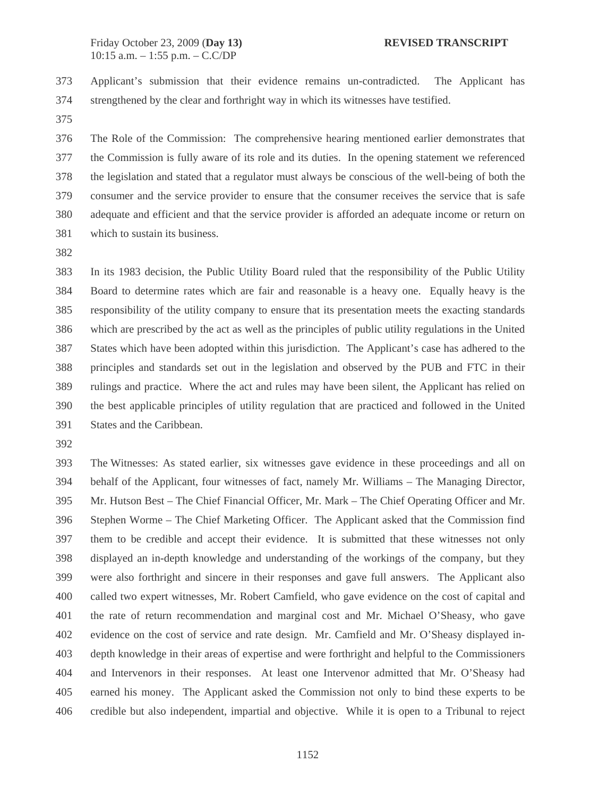373 Applicant's submission that their evidence remains un-contradicted. The Applicant has 374 strengthened by the clear and forthright way in which its witnesses have testified.

375

376 The Role of the Commission: The comprehensive hearing mentioned earlier demonstrates that 377 the Commission is fully aware of its role and its duties. In the opening statement we referenced 378 the legislation and stated that a regulator must always be conscious of the well-being of both the 379 consumer and the service provider to ensure that the consumer receives the service that is safe 380 adequate and efficient and that the service provider is afforded an adequate income or return on 381 which to sustain its business.

382

383 In its 1983 decision, the Public Utility Board ruled that the responsibility of the Public Utility 384 Board to determine rates which are fair and reasonable is a heavy one. Equally heavy is the 385 responsibility of the utility company to ensure that its presentation meets the exacting standards 386 which are prescribed by the act as well as the principles of public utility regulations in the United 387 States which have been adopted within this jurisdiction. The Applicant's case has adhered to the 388 principles and standards set out in the legislation and observed by the PUB and FTC in their 389 rulings and practice. Where the act and rules may have been silent, the Applicant has relied on 390 the best applicable principles of utility regulation that are practiced and followed in the United 391 States and the Caribbean.

392

393 The Witnesses: As stated earlier, six witnesses gave evidence in these proceedings and all on 394 behalf of the Applicant, four witnesses of fact, namely Mr. Williams – The Managing Director, 395 Mr. Hutson Best – The Chief Financial Officer, Mr. Mark – The Chief Operating Officer and Mr. 396 Stephen Worme – The Chief Marketing Officer. The Applicant asked that the Commission find 397 them to be credible and accept their evidence. It is submitted that these witnesses not only 398 displayed an in-depth knowledge and understanding of the workings of the company, but they 399 were also forthright and sincere in their responses and gave full answers. The Applicant also 400 called two expert witnesses, Mr. Robert Camfield, who gave evidence on the cost of capital and 401 the rate of return recommendation and marginal cost and Mr. Michael O'Sheasy, who gave 402 evidence on the cost of service and rate design. Mr. Camfield and Mr. O'Sheasy displayed in-403 depth knowledge in their areas of expertise and were forthright and helpful to the Commissioners 404 and Intervenors in their responses. At least one Intervenor admitted that Mr. O'Sheasy had 405 earned his money. The Applicant asked the Commission not only to bind these experts to be 406 credible but also independent, impartial and objective. While it is open to a Tribunal to reject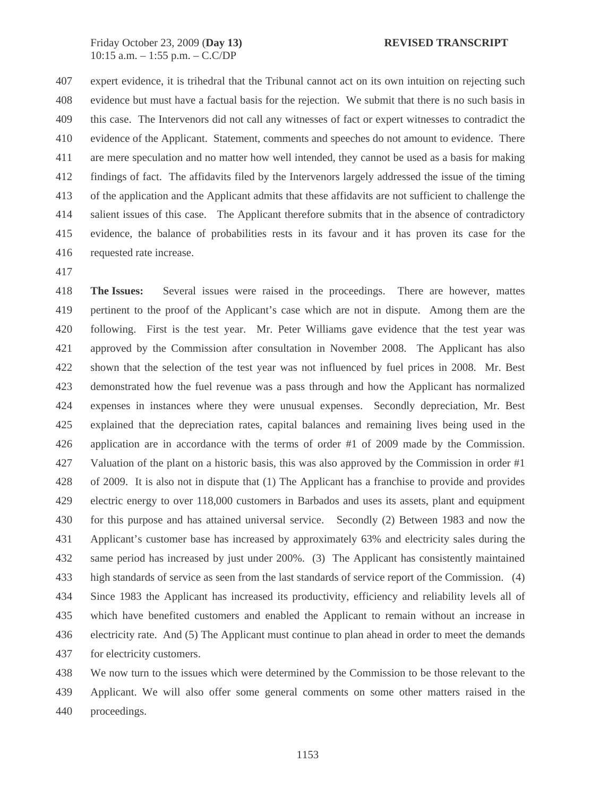407 expert evidence, it is trihedral that the Tribunal cannot act on its own intuition on rejecting such 408 evidence but must have a factual basis for the rejection. We submit that there is no such basis in 409 this case. The Intervenors did not call any witnesses of fact or expert witnesses to contradict the 410 evidence of the Applicant. Statement, comments and speeches do not amount to evidence. There 411 are mere speculation and no matter how well intended, they cannot be used as a basis for making 412 findings of fact. The affidavits filed by the Intervenors largely addressed the issue of the timing 413 of the application and the Applicant admits that these affidavits are not sufficient to challenge the 414 salient issues of this case. The Applicant therefore submits that in the absence of contradictory 415 evidence, the balance of probabilities rests in its favour and it has proven its case for the 416 requested rate increase.

417

418 **The Issues:** Several issues were raised in the proceedings. There are however, mattes 419 pertinent to the proof of the Applicant's case which are not in dispute. Among them are the 420 following. First is the test year. Mr. Peter Williams gave evidence that the test year was 421 approved by the Commission after consultation in November 2008. The Applicant has also 422 shown that the selection of the test year was not influenced by fuel prices in 2008. Mr. Best 423 demonstrated how the fuel revenue was a pass through and how the Applicant has normalized 424 expenses in instances where they were unusual expenses. Secondly depreciation, Mr. Best 425 explained that the depreciation rates, capital balances and remaining lives being used in the 426 application are in accordance with the terms of order #1 of 2009 made by the Commission. 427 Valuation of the plant on a historic basis, this was also approved by the Commission in order #1 428 of 2009. It is also not in dispute that (1) The Applicant has a franchise to provide and provides 429 electric energy to over 118,000 customers in Barbados and uses its assets, plant and equipment 430 for this purpose and has attained universal service. Secondly (2) Between 1983 and now the 431 Applicant's customer base has increased by approximately 63% and electricity sales during the 432 same period has increased by just under 200%. (3) The Applicant has consistently maintained 433 high standards of service as seen from the last standards of service report of the Commission. (4) 434 Since 1983 the Applicant has increased its productivity, efficiency and reliability levels all of 435 which have benefited customers and enabled the Applicant to remain without an increase in 436 electricity rate. And (5) The Applicant must continue to plan ahead in order to meet the demands 437 for electricity customers.

438 We now turn to the issues which were determined by the Commission to be those relevant to the 439 Applicant. We will also offer some general comments on some other matters raised in the 440 proceedings.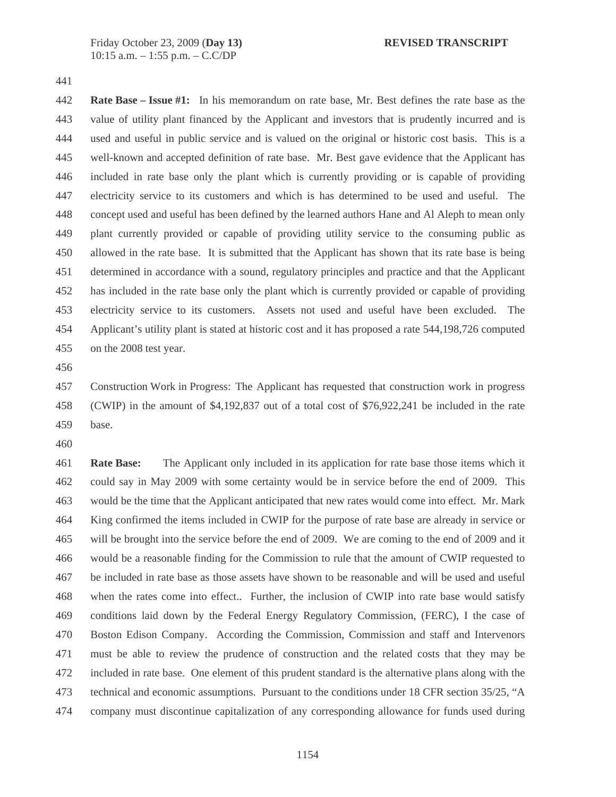441

442 **Rate Base – Issue #1:** In his memorandum on rate base, Mr. Best defines the rate base as the 443 value of utility plant financed by the Applicant and investors that is prudently incurred and is 444 used and useful in public service and is valued on the original or historic cost basis. This is a 445 well-known and accepted definition of rate base. Mr. Best gave evidence that the Applicant has 446 included in rate base only the plant which is currently providing or is capable of providing 447 electricity service to its customers and which is has determined to be used and useful. The 448 concept used and useful has been defined by the learned authors Hane and Al Aleph to mean only 449 plant currently provided or capable of providing utility service to the consuming public as 450 allowed in the rate base. It is submitted that the Applicant has shown that its rate base is being 451 determined in accordance with a sound, regulatory principles and practice and that the Applicant 452 has included in the rate base only the plant which is currently provided or capable of providing 453 electricity service to its customers. Assets not used and useful have been excluded. The 454 Applicant's utility plant is stated at historic cost and it has proposed a rate 544,198,726 computed 455 on the 2008 test year.

456

457 Construction Work in Progress: The Applicant has requested that construction work in progress 458 (CWIP) in the amount of \$4,192,837 out of a total cost of \$76,922,241 be included in the rate 459 base.

460

461 **Rate Base:** The Applicant only included in its application for rate base those items which it 462 could say in May 2009 with some certainty would be in service before the end of 2009. This 463 would be the time that the Applicant anticipated that new rates would come into effect. Mr. Mark 464 King confirmed the items included in CWIP for the purpose of rate base are already in service or 465 will be brought into the service before the end of 2009. We are coming to the end of 2009 and it 466 would be a reasonable finding for the Commission to rule that the amount of CWIP requested to 467 be included in rate base as those assets have shown to be reasonable and will be used and useful 468 when the rates come into effect.. Further, the inclusion of CWIP into rate base would satisfy 469 conditions laid down by the Federal Energy Regulatory Commission, (FERC), I the case of 470 Boston Edison Company. According the Commission, Commission and staff and Intervenors 471 must be able to review the prudence of construction and the related costs that they may be 472 included in rate base. One element of this prudent standard is the alternative plans along with the 473 technical and economic assumptions. Pursuant to the conditions under 18 CFR section 35/25, "A 474 company must discontinue capitalization of any corresponding allowance for funds used during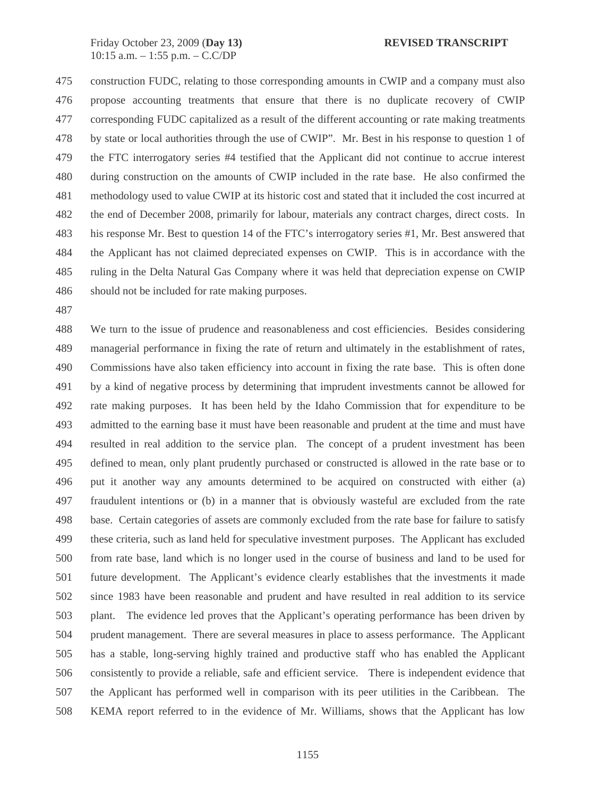475 construction FUDC, relating to those corresponding amounts in CWIP and a company must also 476 propose accounting treatments that ensure that there is no duplicate recovery of CWIP 477 corresponding FUDC capitalized as a result of the different accounting or rate making treatments 478 by state or local authorities through the use of CWIP". Mr. Best in his response to question 1 of 479 the FTC interrogatory series #4 testified that the Applicant did not continue to accrue interest 480 during construction on the amounts of CWIP included in the rate base. He also confirmed the 481 methodology used to value CWIP at its historic cost and stated that it included the cost incurred at 482 the end of December 2008, primarily for labour, materials any contract charges, direct costs. In 483 his response Mr. Best to question 14 of the FTC's interrogatory series #1, Mr. Best answered that 484 the Applicant has not claimed depreciated expenses on CWIP. This is in accordance with the 485 ruling in the Delta Natural Gas Company where it was held that depreciation expense on CWIP 486 should not be included for rate making purposes.

487

488 We turn to the issue of prudence and reasonableness and cost efficiencies. Besides considering 489 managerial performance in fixing the rate of return and ultimately in the establishment of rates, 490 Commissions have also taken efficiency into account in fixing the rate base. This is often done 491 by a kind of negative process by determining that imprudent investments cannot be allowed for 492 rate making purposes. It has been held by the Idaho Commission that for expenditure to be 493 admitted to the earning base it must have been reasonable and prudent at the time and must have 494 resulted in real addition to the service plan. The concept of a prudent investment has been 495 defined to mean, only plant prudently purchased or constructed is allowed in the rate base or to 496 put it another way any amounts determined to be acquired on constructed with either (a) 497 fraudulent intentions or (b) in a manner that is obviously wasteful are excluded from the rate 498 base. Certain categories of assets are commonly excluded from the rate base for failure to satisfy 499 these criteria, such as land held for speculative investment purposes. The Applicant has excluded 500 from rate base, land which is no longer used in the course of business and land to be used for 501 future development. The Applicant's evidence clearly establishes that the investments it made 502 since 1983 have been reasonable and prudent and have resulted in real addition to its service 503 plant. The evidence led proves that the Applicant's operating performance has been driven by 504 prudent management. There are several measures in place to assess performance. The Applicant 505 has a stable, long-serving highly trained and productive staff who has enabled the Applicant 506 consistently to provide a reliable, safe and efficient service. There is independent evidence that 507 the Applicant has performed well in comparison with its peer utilities in the Caribbean. The 508 KEMA report referred to in the evidence of Mr. Williams, shows that the Applicant has low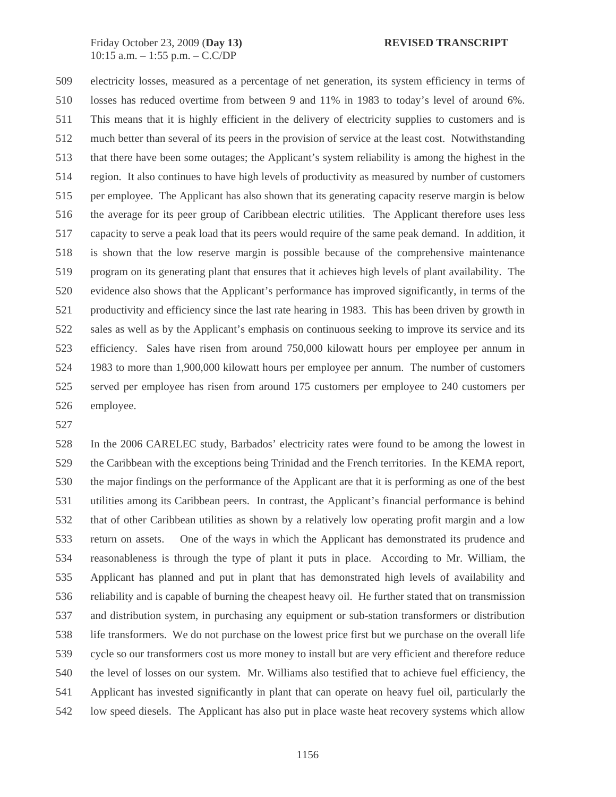509 electricity losses, measured as a percentage of net generation, its system efficiency in terms of 510 losses has reduced overtime from between 9 and 11% in 1983 to today's level of around 6%. 511 This means that it is highly efficient in the delivery of electricity supplies to customers and is 512 much better than several of its peers in the provision of service at the least cost. Notwithstanding 513 that there have been some outages; the Applicant's system reliability is among the highest in the 514 region. It also continues to have high levels of productivity as measured by number of customers 515 per employee. The Applicant has also shown that its generating capacity reserve margin is below 516 the average for its peer group of Caribbean electric utilities. The Applicant therefore uses less 517 capacity to serve a peak load that its peers would require of the same peak demand. In addition, it 518 is shown that the low reserve margin is possible because of the comprehensive maintenance 519 program on its generating plant that ensures that it achieves high levels of plant availability. The 520 evidence also shows that the Applicant's performance has improved significantly, in terms of the 521 productivity and efficiency since the last rate hearing in 1983. This has been driven by growth in 522 sales as well as by the Applicant's emphasis on continuous seeking to improve its service and its 523 efficiency. Sales have risen from around 750,000 kilowatt hours per employee per annum in 524 1983 to more than 1,900,000 kilowatt hours per employee per annum. The number of customers 525 served per employee has risen from around 175 customers per employee to 240 customers per 526 employee.

527

528 In the 2006 CARELEC study, Barbados' electricity rates were found to be among the lowest in 529 the Caribbean with the exceptions being Trinidad and the French territories. In the KEMA report, 530 the major findings on the performance of the Applicant are that it is performing as one of the best 531 utilities among its Caribbean peers. In contrast, the Applicant's financial performance is behind 532 that of other Caribbean utilities as shown by a relatively low operating profit margin and a low 533 return on assets. One of the ways in which the Applicant has demonstrated its prudence and 534 reasonableness is through the type of plant it puts in place. According to Mr. William, the 535 Applicant has planned and put in plant that has demonstrated high levels of availability and 536 reliability and is capable of burning the cheapest heavy oil. He further stated that on transmission 537 and distribution system, in purchasing any equipment or sub-station transformers or distribution 538 life transformers. We do not purchase on the lowest price first but we purchase on the overall life 539 cycle so our transformers cost us more money to install but are very efficient and therefore reduce 540 the level of losses on our system. Mr. Williams also testified that to achieve fuel efficiency, the 541 Applicant has invested significantly in plant that can operate on heavy fuel oil, particularly the 542 low speed diesels. The Applicant has also put in place waste heat recovery systems which allow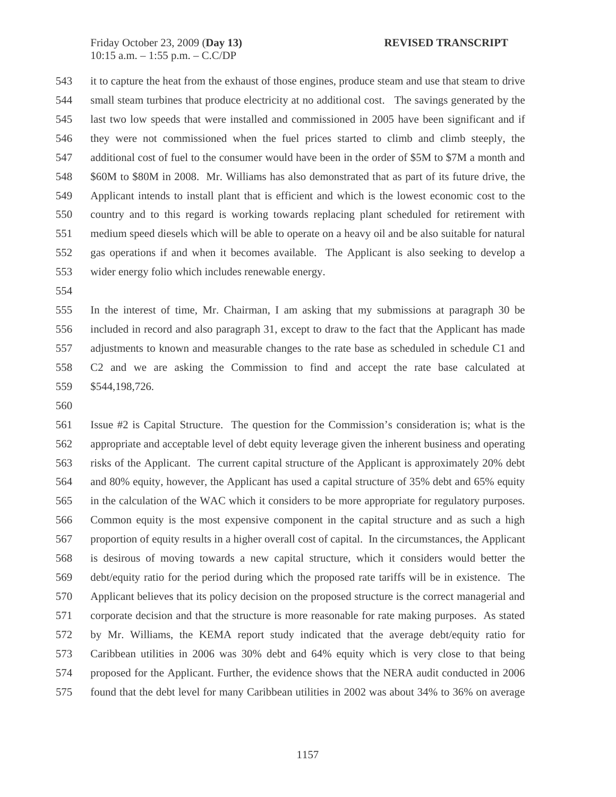543 it to capture the heat from the exhaust of those engines, produce steam and use that steam to drive 544 small steam turbines that produce electricity at no additional cost. The savings generated by the 545 last two low speeds that were installed and commissioned in 2005 have been significant and if 546 they were not commissioned when the fuel prices started to climb and climb steeply, the 547 additional cost of fuel to the consumer would have been in the order of \$5M to \$7M a month and 548 \$60M to \$80M in 2008. Mr. Williams has also demonstrated that as part of its future drive, the 549 Applicant intends to install plant that is efficient and which is the lowest economic cost to the 550 country and to this regard is working towards replacing plant scheduled for retirement with 551 medium speed diesels which will be able to operate on a heavy oil and be also suitable for natural 552 gas operations if and when it becomes available. The Applicant is also seeking to develop a 553 wider energy folio which includes renewable energy.

554

555 In the interest of time, Mr. Chairman, I am asking that my submissions at paragraph 30 be 556 included in record and also paragraph 31, except to draw to the fact that the Applicant has made 557 adjustments to known and measurable changes to the rate base as scheduled in schedule C1 and 558 C2 and we are asking the Commission to find and accept the rate base calculated at 559 \$544,198,726.

560

561 Issue #2 is Capital Structure. The question for the Commission's consideration is; what is the 562 appropriate and acceptable level of debt equity leverage given the inherent business and operating 563 risks of the Applicant. The current capital structure of the Applicant is approximately 20% debt 564 and 80% equity, however, the Applicant has used a capital structure of 35% debt and 65% equity 565 in the calculation of the WAC which it considers to be more appropriate for regulatory purposes. 566 Common equity is the most expensive component in the capital structure and as such a high 567 proportion of equity results in a higher overall cost of capital. In the circumstances, the Applicant 568 is desirous of moving towards a new capital structure, which it considers would better the 569 debt/equity ratio for the period during which the proposed rate tariffs will be in existence. The 570 Applicant believes that its policy decision on the proposed structure is the correct managerial and 571 corporate decision and that the structure is more reasonable for rate making purposes. As stated 572 by Mr. Williams, the KEMA report study indicated that the average debt/equity ratio for 573 Caribbean utilities in 2006 was 30% debt and 64% equity which is very close to that being 574 proposed for the Applicant. Further, the evidence shows that the NERA audit conducted in 2006 575 found that the debt level for many Caribbean utilities in 2002 was about 34% to 36% on average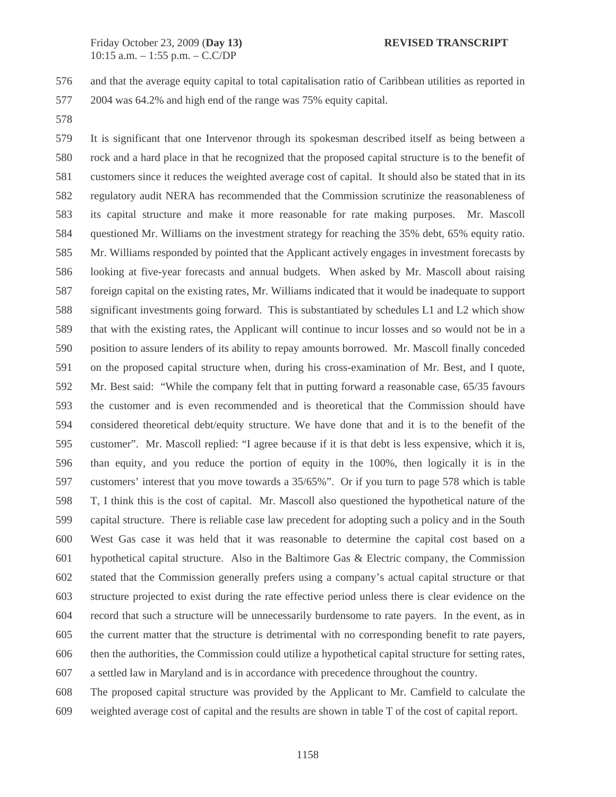576 and that the average equity capital to total capitalisation ratio of Caribbean utilities as reported in 577 2004 was 64.2% and high end of the range was 75% equity capital.

578

579 It is significant that one Intervenor through its spokesman described itself as being between a 580 rock and a hard place in that he recognized that the proposed capital structure is to the benefit of 581 customers since it reduces the weighted average cost of capital. It should also be stated that in its 582 regulatory audit NERA has recommended that the Commission scrutinize the reasonableness of 583 its capital structure and make it more reasonable for rate making purposes. Mr. Mascoll 584 questioned Mr. Williams on the investment strategy for reaching the 35% debt, 65% equity ratio. 585 Mr. Williams responded by pointed that the Applicant actively engages in investment forecasts by 586 looking at five-year forecasts and annual budgets. When asked by Mr. Mascoll about raising 587 foreign capital on the existing rates, Mr. Williams indicated that it would be inadequate to support 588 significant investments going forward. This is substantiated by schedules L1 and L2 which show 589 that with the existing rates, the Applicant will continue to incur losses and so would not be in a 590 position to assure lenders of its ability to repay amounts borrowed. Mr. Mascoll finally conceded 591 on the proposed capital structure when, during his cross-examination of Mr. Best, and I quote, 592 Mr. Best said: "While the company felt that in putting forward a reasonable case, 65/35 favours 593 the customer and is even recommended and is theoretical that the Commission should have 594 considered theoretical debt/equity structure. We have done that and it is to the benefit of the 595 customer". Mr. Mascoll replied: "I agree because if it is that debt is less expensive, which it is, 596 than equity, and you reduce the portion of equity in the 100%, then logically it is in the 597 customers' interest that you move towards a 35/65%". Or if you turn to page 578 which is table 598 T, I think this is the cost of capital. Mr. Mascoll also questioned the hypothetical nature of the 599 capital structure. There is reliable case law precedent for adopting such a policy and in the South 600 West Gas case it was held that it was reasonable to determine the capital cost based on a 601 hypothetical capital structure. Also in the Baltimore Gas & Electric company, the Commission 602 stated that the Commission generally prefers using a company's actual capital structure or that 603 structure projected to exist during the rate effective period unless there is clear evidence on the 604 record that such a structure will be unnecessarily burdensome to rate payers. In the event, as in 605 the current matter that the structure is detrimental with no corresponding benefit to rate payers, 606 then the authorities, the Commission could utilize a hypothetical capital structure for setting rates, 607 a settled law in Maryland and is in accordance with precedence throughout the country.

608 The proposed capital structure was provided by the Applicant to Mr. Camfield to calculate the 609 weighted average cost of capital and the results are shown in table T of the cost of capital report.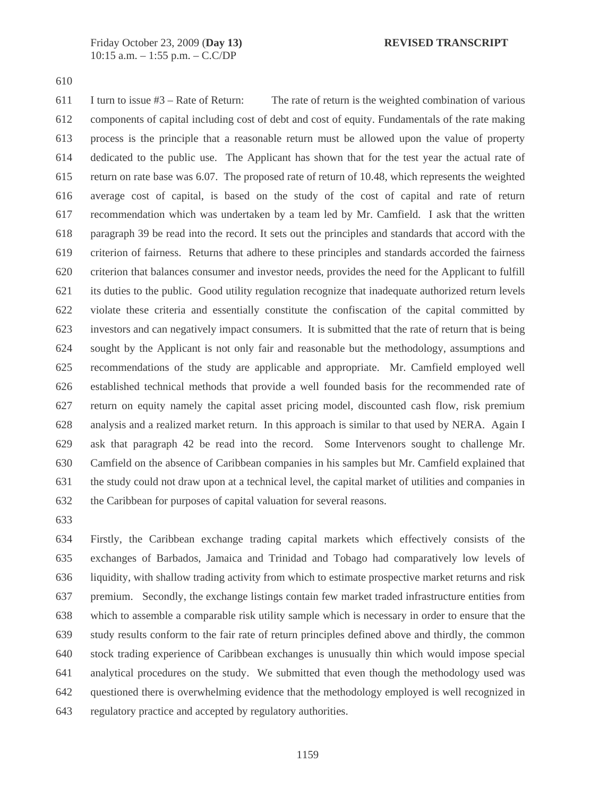610

611 I turn to issue  $#3 -$  Rate of Return: The rate of return is the weighted combination of various 612 components of capital including cost of debt and cost of equity. Fundamentals of the rate making 613 process is the principle that a reasonable return must be allowed upon the value of property 614 dedicated to the public use. The Applicant has shown that for the test year the actual rate of 615 return on rate base was 6.07. The proposed rate of return of 10.48, which represents the weighted 616 average cost of capital, is based on the study of the cost of capital and rate of return 617 recommendation which was undertaken by a team led by Mr. Camfield. I ask that the written 618 paragraph 39 be read into the record. It sets out the principles and standards that accord with the 619 criterion of fairness. Returns that adhere to these principles and standards accorded the fairness 620 criterion that balances consumer and investor needs, provides the need for the Applicant to fulfill 621 its duties to the public. Good utility regulation recognize that inadequate authorized return levels 622 violate these criteria and essentially constitute the confiscation of the capital committed by 623 investors and can negatively impact consumers. It is submitted that the rate of return that is being 624 sought by the Applicant is not only fair and reasonable but the methodology, assumptions and 625 recommendations of the study are applicable and appropriate. Mr. Camfield employed well 626 established technical methods that provide a well founded basis for the recommended rate of 627 return on equity namely the capital asset pricing model, discounted cash flow, risk premium 628 analysis and a realized market return. In this approach is similar to that used by NERA. Again I 629 ask that paragraph 42 be read into the record. Some Intervenors sought to challenge Mr. 630 Camfield on the absence of Caribbean companies in his samples but Mr. Camfield explained that 631 the study could not draw upon at a technical level, the capital market of utilities and companies in 632 the Caribbean for purposes of capital valuation for several reasons.

633

634 Firstly, the Caribbean exchange trading capital markets which effectively consists of the 635 exchanges of Barbados, Jamaica and Trinidad and Tobago had comparatively low levels of 636 liquidity, with shallow trading activity from which to estimate prospective market returns and risk 637 premium. Secondly, the exchange listings contain few market traded infrastructure entities from 638 which to assemble a comparable risk utility sample which is necessary in order to ensure that the 639 study results conform to the fair rate of return principles defined above and thirdly, the common 640 stock trading experience of Caribbean exchanges is unusually thin which would impose special 641 analytical procedures on the study. We submitted that even though the methodology used was 642 questioned there is overwhelming evidence that the methodology employed is well recognized in 643 regulatory practice and accepted by regulatory authorities.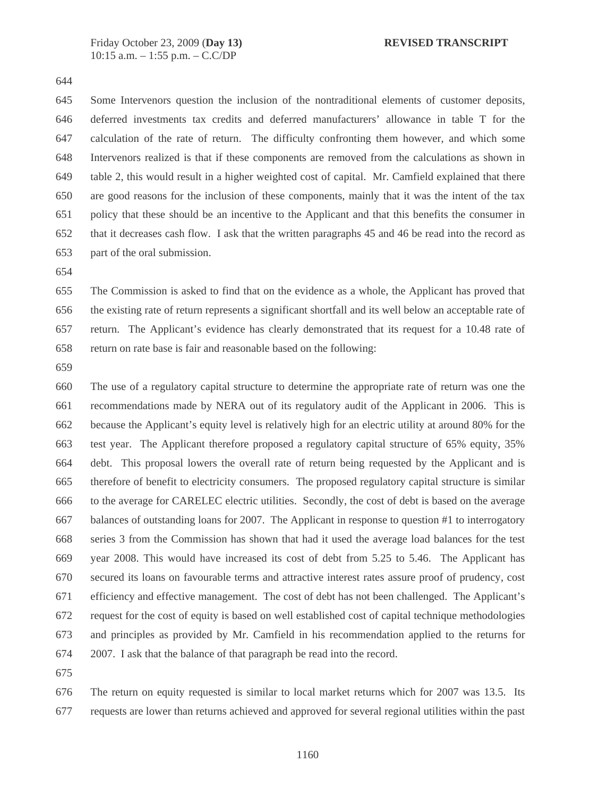644

645 Some Intervenors question the inclusion of the nontraditional elements of customer deposits, 646 deferred investments tax credits and deferred manufacturers' allowance in table T for the 647 calculation of the rate of return. The difficulty confronting them however, and which some 648 Intervenors realized is that if these components are removed from the calculations as shown in 649 table 2, this would result in a higher weighted cost of capital. Mr. Camfield explained that there 650 are good reasons for the inclusion of these components, mainly that it was the intent of the tax 651 policy that these should be an incentive to the Applicant and that this benefits the consumer in 652 that it decreases cash flow. I ask that the written paragraphs 45 and 46 be read into the record as 653 part of the oral submission.

654

655 The Commission is asked to find that on the evidence as a whole, the Applicant has proved that 656 the existing rate of return represents a significant shortfall and its well below an acceptable rate of 657 return. The Applicant's evidence has clearly demonstrated that its request for a 10.48 rate of 658 return on rate base is fair and reasonable based on the following:

659

660 The use of a regulatory capital structure to determine the appropriate rate of return was one the 661 recommendations made by NERA out of its regulatory audit of the Applicant in 2006. This is 662 because the Applicant's equity level is relatively high for an electric utility at around 80% for the 663 test year. The Applicant therefore proposed a regulatory capital structure of 65% equity, 35% 664 debt. This proposal lowers the overall rate of return being requested by the Applicant and is 665 therefore of benefit to electricity consumers. The proposed regulatory capital structure is similar 666 to the average for CARELEC electric utilities. Secondly, the cost of debt is based on the average 667 balances of outstanding loans for 2007. The Applicant in response to question #1 to interrogatory 668 series 3 from the Commission has shown that had it used the average load balances for the test 669 year 2008. This would have increased its cost of debt from 5.25 to 5.46. The Applicant has 670 secured its loans on favourable terms and attractive interest rates assure proof of prudency, cost 671 efficiency and effective management. The cost of debt has not been challenged. The Applicant's 672 request for the cost of equity is based on well established cost of capital technique methodologies 673 and principles as provided by Mr. Camfield in his recommendation applied to the returns for 674 2007. I ask that the balance of that paragraph be read into the record.

675

676 The return on equity requested is similar to local market returns which for 2007 was 13.5. Its 677 requests are lower than returns achieved and approved for several regional utilities within the past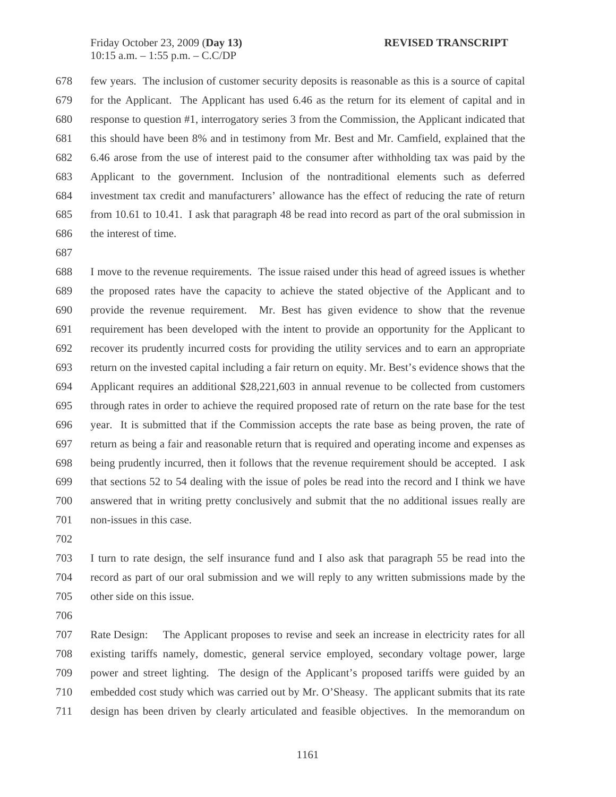678 few years. The inclusion of customer security deposits is reasonable as this is a source of capital 679 for the Applicant. The Applicant has used 6.46 as the return for its element of capital and in 680 response to question #1, interrogatory series 3 from the Commission, the Applicant indicated that 681 this should have been 8% and in testimony from Mr. Best and Mr. Camfield, explained that the 682 6.46 arose from the use of interest paid to the consumer after withholding tax was paid by the 683 Applicant to the government. Inclusion of the nontraditional elements such as deferred 684 investment tax credit and manufacturers' allowance has the effect of reducing the rate of return 685 from 10.61 to 10.41. I ask that paragraph 48 be read into record as part of the oral submission in 686 the interest of time.

687

688 I move to the revenue requirements. The issue raised under this head of agreed issues is whether 689 the proposed rates have the capacity to achieve the stated objective of the Applicant and to 690 provide the revenue requirement. Mr. Best has given evidence to show that the revenue 691 requirement has been developed with the intent to provide an opportunity for the Applicant to 692 recover its prudently incurred costs for providing the utility services and to earn an appropriate 693 return on the invested capital including a fair return on equity. Mr. Best's evidence shows that the 694 Applicant requires an additional \$28,221,603 in annual revenue to be collected from customers 695 through rates in order to achieve the required proposed rate of return on the rate base for the test 696 year. It is submitted that if the Commission accepts the rate base as being proven, the rate of 697 return as being a fair and reasonable return that is required and operating income and expenses as 698 being prudently incurred, then it follows that the revenue requirement should be accepted. I ask 699 that sections 52 to 54 dealing with the issue of poles be read into the record and I think we have 700 answered that in writing pretty conclusively and submit that the no additional issues really are 701 non-issues in this case.

702

703 I turn to rate design, the self insurance fund and I also ask that paragraph 55 be read into the 704 record as part of our oral submission and we will reply to any written submissions made by the 705 other side on this issue.

706

707 Rate Design: The Applicant proposes to revise and seek an increase in electricity rates for all 708 existing tariffs namely, domestic, general service employed, secondary voltage power, large 709 power and street lighting. The design of the Applicant's proposed tariffs were guided by an 710 embedded cost study which was carried out by Mr. O'Sheasy. The applicant submits that its rate 711 design has been driven by clearly articulated and feasible objectives. In the memorandum on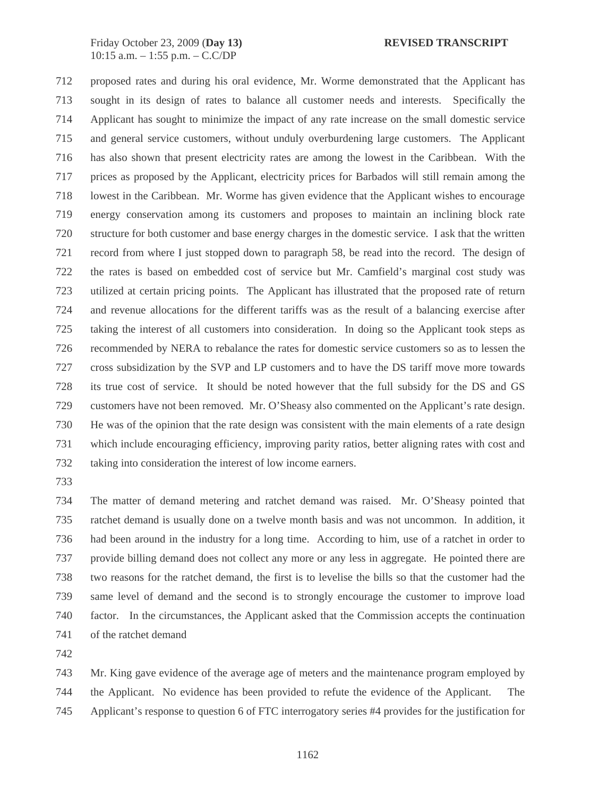712 proposed rates and during his oral evidence, Mr. Worme demonstrated that the Applicant has 713 sought in its design of rates to balance all customer needs and interests. Specifically the 714 Applicant has sought to minimize the impact of any rate increase on the small domestic service 715 and general service customers, without unduly overburdening large customers. The Applicant 716 has also shown that present electricity rates are among the lowest in the Caribbean. With the 717 prices as proposed by the Applicant, electricity prices for Barbados will still remain among the 718 lowest in the Caribbean. Mr. Worme has given evidence that the Applicant wishes to encourage 719 energy conservation among its customers and proposes to maintain an inclining block rate 720 structure for both customer and base energy charges in the domestic service. I ask that the written 721 record from where I just stopped down to paragraph 58, be read into the record. The design of 722 the rates is based on embedded cost of service but Mr. Camfield's marginal cost study was 723 utilized at certain pricing points. The Applicant has illustrated that the proposed rate of return 724 and revenue allocations for the different tariffs was as the result of a balancing exercise after 725 taking the interest of all customers into consideration. In doing so the Applicant took steps as 726 recommended by NERA to rebalance the rates for domestic service customers so as to lessen the 727 cross subsidization by the SVP and LP customers and to have the DS tariff move more towards 728 its true cost of service. It should be noted however that the full subsidy for the DS and GS 729 customers have not been removed. Mr. O'Sheasy also commented on the Applicant's rate design. 730 He was of the opinion that the rate design was consistent with the main elements of a rate design 731 which include encouraging efficiency, improving parity ratios, better aligning rates with cost and 732 taking into consideration the interest of low income earners.

733

734 The matter of demand metering and ratchet demand was raised. Mr. O'Sheasy pointed that 735 ratchet demand is usually done on a twelve month basis and was not uncommon. In addition, it 736 had been around in the industry for a long time. According to him, use of a ratchet in order to 737 provide billing demand does not collect any more or any less in aggregate. He pointed there are 738 two reasons for the ratchet demand, the first is to levelise the bills so that the customer had the 739 same level of demand and the second is to strongly encourage the customer to improve load 740 factor. In the circumstances, the Applicant asked that the Commission accepts the continuation 741 of the ratchet demand

742

743 Mr. King gave evidence of the average age of meters and the maintenance program employed by 744 the Applicant. No evidence has been provided to refute the evidence of the Applicant. The 745 Applicant's response to question 6 of FTC interrogatory series #4 provides for the justification for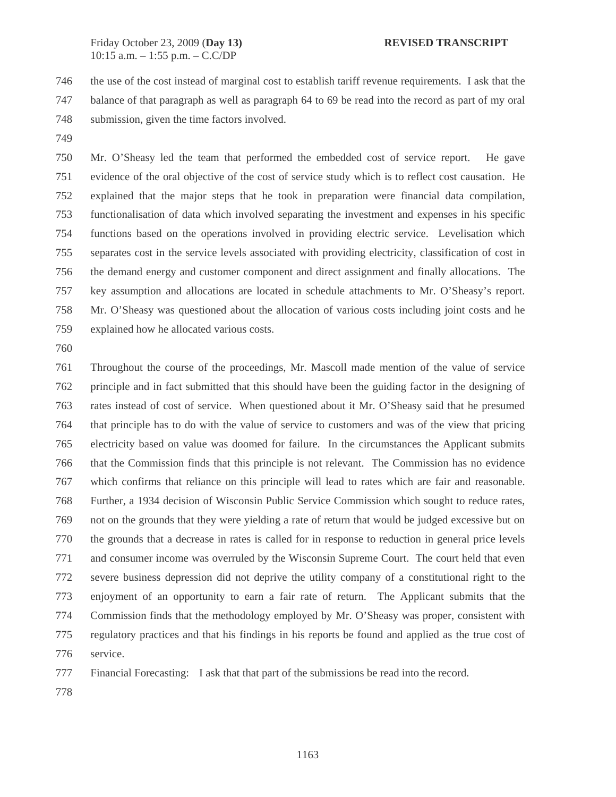746 the use of the cost instead of marginal cost to establish tariff revenue requirements. I ask that the 747 balance of that paragraph as well as paragraph 64 to 69 be read into the record as part of my oral 748 submission, given the time factors involved.

749

750 Mr. O'Sheasy led the team that performed the embedded cost of service report. He gave 751 evidence of the oral objective of the cost of service study which is to reflect cost causation. He 752 explained that the major steps that he took in preparation were financial data compilation, 753 functionalisation of data which involved separating the investment and expenses in his specific 754 functions based on the operations involved in providing electric service. Levelisation which 755 separates cost in the service levels associated with providing electricity, classification of cost in 756 the demand energy and customer component and direct assignment and finally allocations. The 757 key assumption and allocations are located in schedule attachments to Mr. O'Sheasy's report. 758 Mr. O'Sheasy was questioned about the allocation of various costs including joint costs and he 759 explained how he allocated various costs.

760

761 Throughout the course of the proceedings, Mr. Mascoll made mention of the value of service 762 principle and in fact submitted that this should have been the guiding factor in the designing of 763 rates instead of cost of service. When questioned about it Mr. O'Sheasy said that he presumed 764 that principle has to do with the value of service to customers and was of the view that pricing 765 electricity based on value was doomed for failure. In the circumstances the Applicant submits 766 that the Commission finds that this principle is not relevant. The Commission has no evidence 767 which confirms that reliance on this principle will lead to rates which are fair and reasonable. 768 Further, a 1934 decision of Wisconsin Public Service Commission which sought to reduce rates, 769 not on the grounds that they were yielding a rate of return that would be judged excessive but on 770 the grounds that a decrease in rates is called for in response to reduction in general price levels 771 and consumer income was overruled by the Wisconsin Supreme Court. The court held that even 772 severe business depression did not deprive the utility company of a constitutional right to the 773 enjoyment of an opportunity to earn a fair rate of return. The Applicant submits that the 774 Commission finds that the methodology employed by Mr. O'Sheasy was proper, consistent with 775 regulatory practices and that his findings in his reports be found and applied as the true cost of 776 service.

777 Financial Forecasting: I ask that that part of the submissions be read into the record.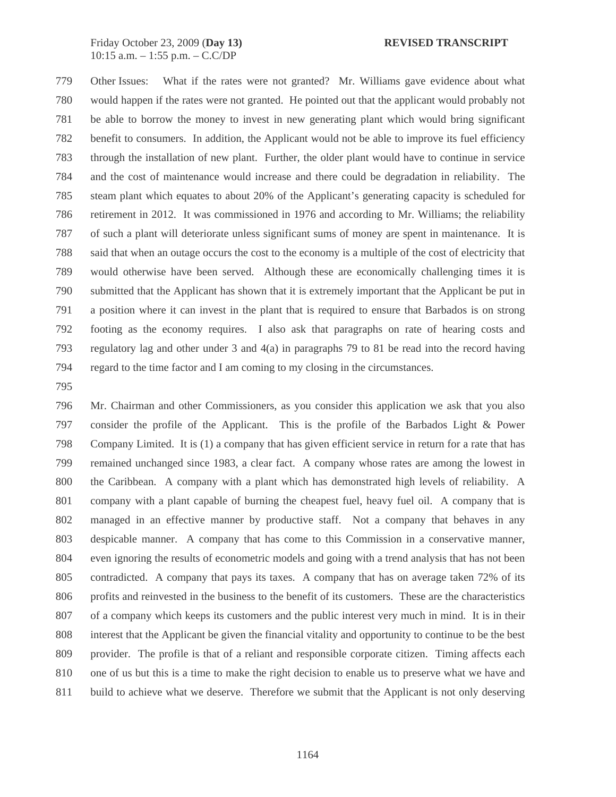779 Other Issues: What if the rates were not granted? Mr. Williams gave evidence about what 780 would happen if the rates were not granted. He pointed out that the applicant would probably not 781 be able to borrow the money to invest in new generating plant which would bring significant 782 benefit to consumers. In addition, the Applicant would not be able to improve its fuel efficiency 783 through the installation of new plant. Further, the older plant would have to continue in service 784 and the cost of maintenance would increase and there could be degradation in reliability. The 785 steam plant which equates to about 20% of the Applicant's generating capacity is scheduled for 786 retirement in 2012. It was commissioned in 1976 and according to Mr. Williams; the reliability 787 of such a plant will deteriorate unless significant sums of money are spent in maintenance. It is 788 said that when an outage occurs the cost to the economy is a multiple of the cost of electricity that 789 would otherwise have been served. Although these are economically challenging times it is 790 submitted that the Applicant has shown that it is extremely important that the Applicant be put in 791 a position where it can invest in the plant that is required to ensure that Barbados is on strong 792 footing as the economy requires. I also ask that paragraphs on rate of hearing costs and 793 regulatory lag and other under 3 and 4(a) in paragraphs 79 to 81 be read into the record having 794 regard to the time factor and I am coming to my closing in the circumstances.

795

796 Mr. Chairman and other Commissioners, as you consider this application we ask that you also 797 consider the profile of the Applicant. This is the profile of the Barbados Light & Power 798 Company Limited. It is (1) a company that has given efficient service in return for a rate that has 799 remained unchanged since 1983, a clear fact. A company whose rates are among the lowest in 800 the Caribbean. A company with a plant which has demonstrated high levels of reliability. A 801 company with a plant capable of burning the cheapest fuel, heavy fuel oil. A company that is 802 managed in an effective manner by productive staff. Not a company that behaves in any 803 despicable manner. A company that has come to this Commission in a conservative manner, 804 even ignoring the results of econometric models and going with a trend analysis that has not been 805 contradicted. A company that pays its taxes. A company that has on average taken 72% of its 806 profits and reinvested in the business to the benefit of its customers. These are the characteristics 807 of a company which keeps its customers and the public interest very much in mind. It is in their 808 interest that the Applicant be given the financial vitality and opportunity to continue to be the best 809 provider. The profile is that of a reliant and responsible corporate citizen. Timing affects each 810 one of us but this is a time to make the right decision to enable us to preserve what we have and 811 build to achieve what we deserve. Therefore we submit that the Applicant is not only deserving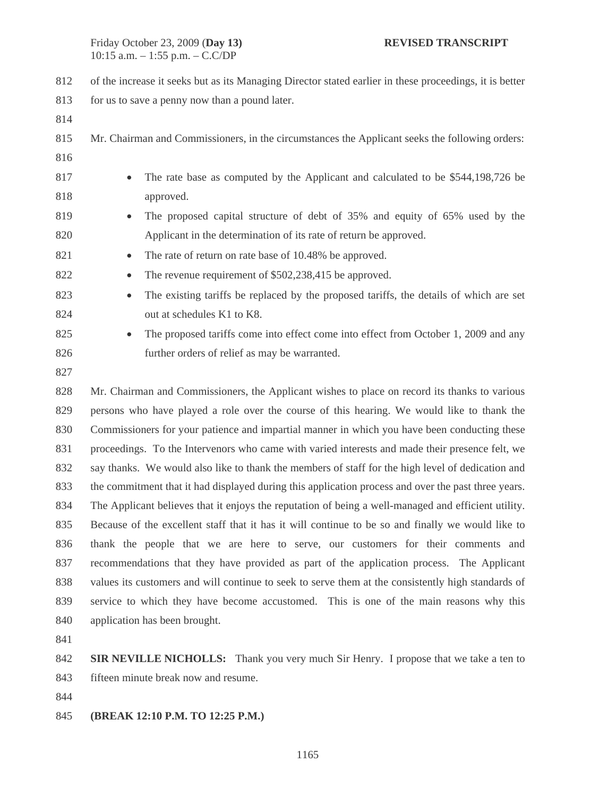812 of the increase it seeks but as its Managing Director stated earlier in these proceedings, it is better 813 for us to save a penny now than a pound later. 814 815 Mr. Chairman and Commissioners, in the circumstances the Applicant seeks the following orders: 816 817 • The rate base as computed by the Applicant and calculated to be \$544,198,726 be 818 approved. 819 • The proposed capital structure of debt of 35% and equity of 65% used by the 820 Applicant in the determination of its rate of return be approved. 821 • The rate of return on rate base of 10.48% be approved. 822 • The revenue requirement of \$502,238,415 be approved. 823 • The existing tariffs be replaced by the proposed tariffs, the details of which are set 824 out at schedules K1 to K8. 825 • The proposed tariffs come into effect come into effect from October 1, 2009 and any 826 further orders of relief as may be warranted. 827 828 Mr. Chairman and Commissioners, the Applicant wishes to place on record its thanks to various 829 persons who have played a role over the course of this hearing. We would like to thank the 830 Commissioners for your patience and impartial manner in which you have been conducting these 831 proceedings. To the Intervenors who came with varied interests and made their presence felt, we 832 say thanks. We would also like to thank the members of staff for the high level of dedication and 833 the commitment that it had displayed during this application process and over the past three years. 834 The Applicant believes that it enjoys the reputation of being a well-managed and efficient utility.

835 Because of the excellent staff that it has it will continue to be so and finally we would like to 836 thank the people that we are here to serve, our customers for their comments and 837 recommendations that they have provided as part of the application process. The Applicant 838 values its customers and will continue to seek to serve them at the consistently high standards of 839 service to which they have become accustomed. This is one of the main reasons why this 840 application has been brought.

841

842 **SIR NEVILLE NICHOLLS:** Thank you very much Sir Henry. I propose that we take a ten to 843 fifteen minute break now and resume.

844

845 **(BREAK 12:10 P.M. TO 12:25 P.M.)**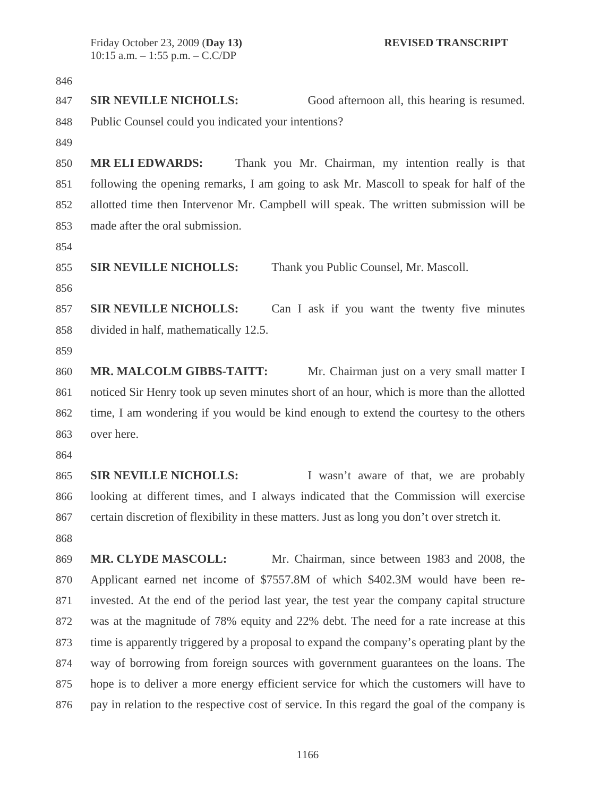## 846

847 **SIR NEVILLE NICHOLLS:** Good afternoon all, this hearing is resumed. 848 Public Counsel could you indicated your intentions?

849

850 **MR ELI EDWARDS:** Thank you Mr. Chairman, my intention really is that 851 following the opening remarks, I am going to ask Mr. Mascoll to speak for half of the 852 allotted time then Intervenor Mr. Campbell will speak. The written submission will be 853 made after the oral submission.

854

855 **SIR NEVILLE NICHOLLS:** Thank you Public Counsel, Mr. Mascoll.

856

857 **SIR NEVILLE NICHOLLS:** Can I ask if you want the twenty five minutes 858 divided in half, mathematically 12.5.

859

860 **MR. MALCOLM GIBBS-TAITT:** Mr. Chairman just on a very small matter I 861 noticed Sir Henry took up seven minutes short of an hour, which is more than the allotted 862 time, I am wondering if you would be kind enough to extend the courtesy to the others 863 over here.

864

865 **SIR NEVILLE NICHOLLS:** I wasn't aware of that, we are probably 866 looking at different times, and I always indicated that the Commission will exercise 867 certain discretion of flexibility in these matters. Just as long you don't over stretch it. 868

869 **MR. CLYDE MASCOLL:** Mr. Chairman, since between 1983 and 2008, the 870 Applicant earned net income of \$7557.8M of which \$402.3M would have been re-871 invested. At the end of the period last year, the test year the company capital structure 872 was at the magnitude of 78% equity and 22% debt. The need for a rate increase at this 873 time is apparently triggered by a proposal to expand the company's operating plant by the 874 way of borrowing from foreign sources with government guarantees on the loans. The 875 hope is to deliver a more energy efficient service for which the customers will have to 876 pay in relation to the respective cost of service. In this regard the goal of the company is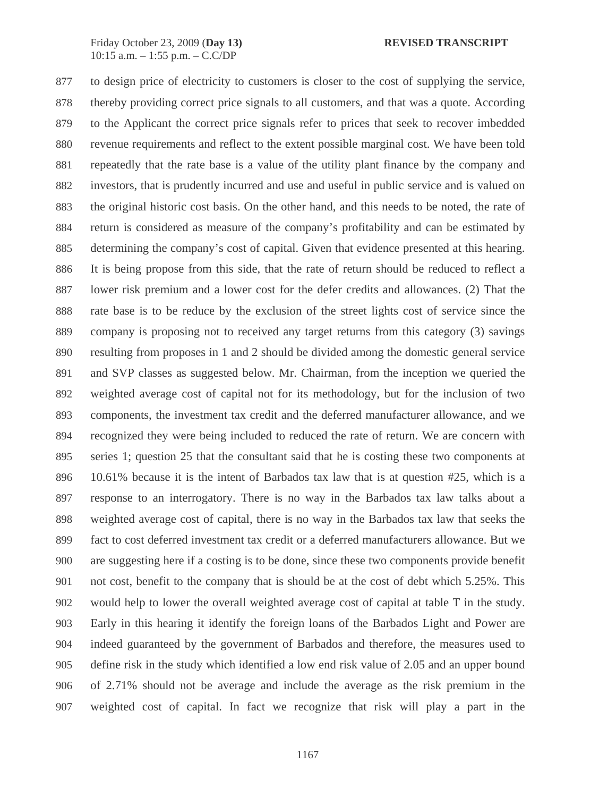877 to design price of electricity to customers is closer to the cost of supplying the service, 878 thereby providing correct price signals to all customers, and that was a quote. According 879 to the Applicant the correct price signals refer to prices that seek to recover imbedded 880 revenue requirements and reflect to the extent possible marginal cost. We have been told 881 repeatedly that the rate base is a value of the utility plant finance by the company and 882 investors, that is prudently incurred and use and useful in public service and is valued on 883 the original historic cost basis. On the other hand, and this needs to be noted, the rate of 884 return is considered as measure of the company's profitability and can be estimated by 885 determining the company's cost of capital. Given that evidence presented at this hearing. 886 It is being propose from this side, that the rate of return should be reduced to reflect a 887 lower risk premium and a lower cost for the defer credits and allowances. (2) That the 888 rate base is to be reduce by the exclusion of the street lights cost of service since the 889 company is proposing not to received any target returns from this category (3) savings 890 resulting from proposes in 1 and 2 should be divided among the domestic general service 891 and SVP classes as suggested below. Mr. Chairman, from the inception we queried the 892 weighted average cost of capital not for its methodology, but for the inclusion of two 893 components, the investment tax credit and the deferred manufacturer allowance, and we 894 recognized they were being included to reduced the rate of return. We are concern with 895 series 1; question 25 that the consultant said that he is costing these two components at 896 10.61% because it is the intent of Barbados tax law that is at question #25, which is a 897 response to an interrogatory. There is no way in the Barbados tax law talks about a 898 weighted average cost of capital, there is no way in the Barbados tax law that seeks the 899 fact to cost deferred investment tax credit or a deferred manufacturers allowance. But we 900 are suggesting here if a costing is to be done, since these two components provide benefit 901 not cost, benefit to the company that is should be at the cost of debt which 5.25%. This 902 would help to lower the overall weighted average cost of capital at table T in the study. 903 Early in this hearing it identify the foreign loans of the Barbados Light and Power are 904 indeed guaranteed by the government of Barbados and therefore, the measures used to 905 define risk in the study which identified a low end risk value of 2.05 and an upper bound 906 of 2.71% should not be average and include the average as the risk premium in the 907 weighted cost of capital. In fact we recognize that risk will play a part in the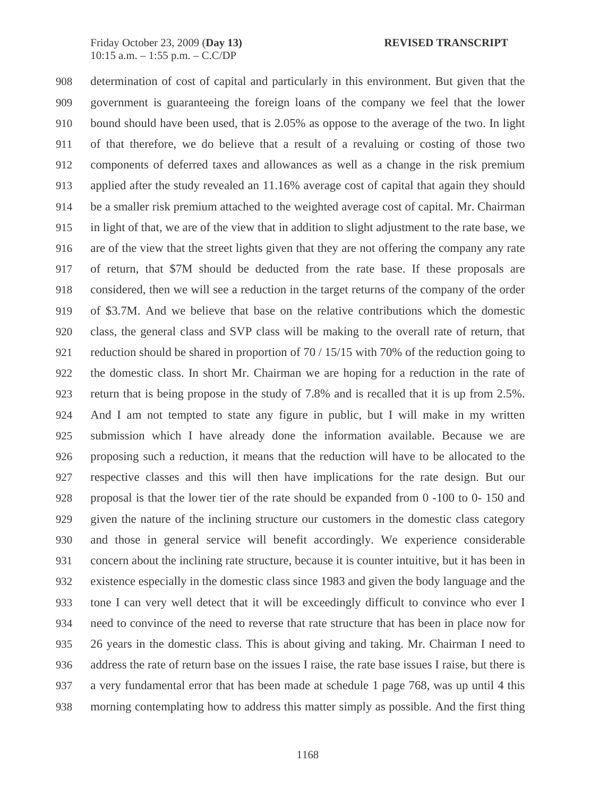908 determination of cost of capital and particularly in this environment. But given that the 909 government is guaranteeing the foreign loans of the company we feel that the lower 910 bound should have been used, that is 2.05% as oppose to the average of the two. In light 911 of that therefore, we do believe that a result of a revaluing or costing of those two 912 components of deferred taxes and allowances as well as a change in the risk premium 913 applied after the study revealed an 11.16% average cost of capital that again they should 914 be a smaller risk premium attached to the weighted average cost of capital. Mr. Chairman 915 in light of that, we are of the view that in addition to slight adjustment to the rate base, we 916 are of the view that the street lights given that they are not offering the company any rate 917 of return, that \$7M should be deducted from the rate base. If these proposals are 918 considered, then we will see a reduction in the target returns of the company of the order 919 of \$3.7M. And we believe that base on the relative contributions which the domestic 920 class, the general class and SVP class will be making to the overall rate of return, that 921 reduction should be shared in proportion of 70 / 15/15 with 70% of the reduction going to 922 the domestic class. In short Mr. Chairman we are hoping for a reduction in the rate of 923 return that is being propose in the study of 7.8% and is recalled that it is up from 2.5%. 924 And I am not tempted to state any figure in public, but I will make in my written 925 submission which I have already done the information available. Because we are 926 proposing such a reduction, it means that the reduction will have to be allocated to the 927 respective classes and this will then have implications for the rate design. But our 928 proposal is that the lower tier of the rate should be expanded from 0 -100 to 0- 150 and 929 given the nature of the inclining structure our customers in the domestic class category 930 and those in general service will benefit accordingly. We experience considerable 931 concern about the inclining rate structure, because it is counter intuitive, but it has been in 932 existence especially in the domestic class since 1983 and given the body language and the 933 tone I can very well detect that it will be exceedingly difficult to convince who ever I 934 need to convince of the need to reverse that rate structure that has been in place now for 935 26 years in the domestic class. This is about giving and taking. Mr. Chairman I need to 936 address the rate of return base on the issues I raise, the rate base issues I raise, but there is 937 a very fundamental error that has been made at schedule 1 page 768, was up until 4 this 938 morning contemplating how to address this matter simply as possible. And the first thing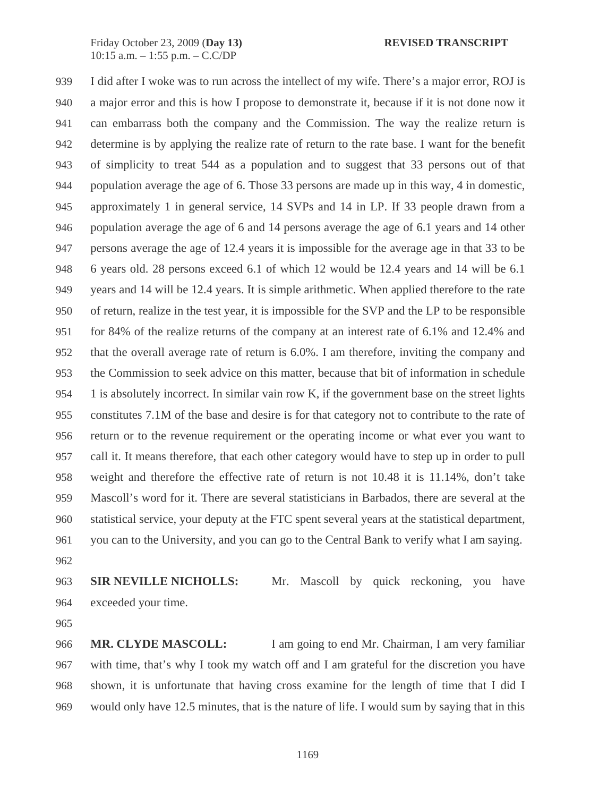939 I did after I woke was to run across the intellect of my wife. There's a major error, ROJ is 940 a major error and this is how I propose to demonstrate it, because if it is not done now it 941 can embarrass both the company and the Commission. The way the realize return is 942 determine is by applying the realize rate of return to the rate base. I want for the benefit 943 of simplicity to treat 544 as a population and to suggest that 33 persons out of that 944 population average the age of 6. Those 33 persons are made up in this way, 4 in domestic, 945 approximately 1 in general service, 14 SVPs and 14 in LP. If 33 people drawn from a 946 population average the age of 6 and 14 persons average the age of 6.1 years and 14 other 947 persons average the age of 12.4 years it is impossible for the average age in that 33 to be 948 6 years old. 28 persons exceed 6.1 of which 12 would be 12.4 years and 14 will be 6.1 949 years and 14 will be 12.4 years. It is simple arithmetic. When applied therefore to the rate 950 of return, realize in the test year, it is impossible for the SVP and the LP to be responsible 951 for 84% of the realize returns of the company at an interest rate of 6.1% and 12.4% and 952 that the overall average rate of return is 6.0%. I am therefore, inviting the company and 953 the Commission to seek advice on this matter, because that bit of information in schedule 954 1 is absolutely incorrect. In similar vain row K, if the government base on the street lights 955 constitutes 7.1M of the base and desire is for that category not to contribute to the rate of 956 return or to the revenue requirement or the operating income or what ever you want to 957 call it. It means therefore, that each other category would have to step up in order to pull 958 weight and therefore the effective rate of return is not 10.48 it is 11.14%, don't take 959 Mascoll's word for it. There are several statisticians in Barbados, there are several at the 960 statistical service, your deputy at the FTC spent several years at the statistical department, 961 you can to the University, and you can go to the Central Bank to verify what I am saying.

962

963 **SIR NEVILLE NICHOLLS:** Mr. Mascoll by quick reckoning, you have 964 exceeded your time.

965

966 **MR. CLYDE MASCOLL:** I am going to end Mr. Chairman, I am very familiar 967 with time, that's why I took my watch off and I am grateful for the discretion you have 968 shown, it is unfortunate that having cross examine for the length of time that I did I 969 would only have 12.5 minutes, that is the nature of life. I would sum by saying that in this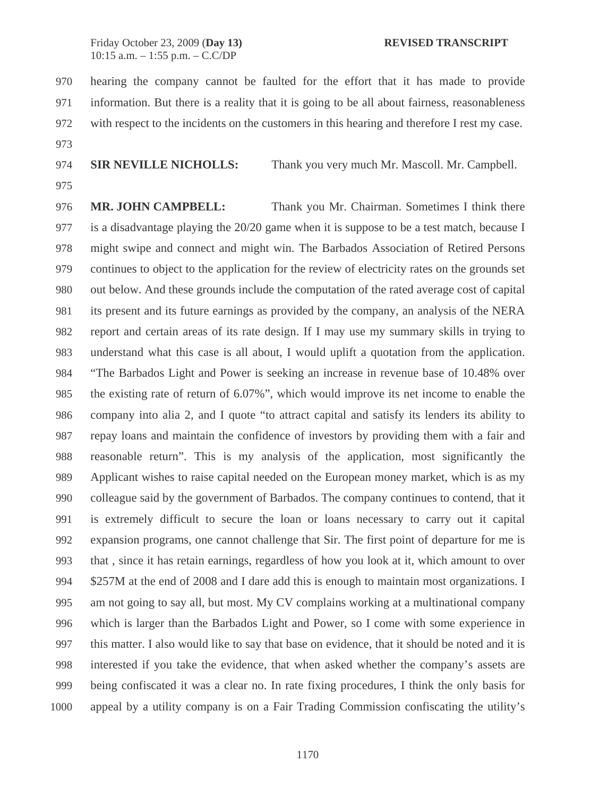970 hearing the company cannot be faulted for the effort that it has made to provide 971 information. But there is a reality that it is going to be all about fairness, reasonableness 972 with respect to the incidents on the customers in this hearing and therefore I rest my case. 973

974 **SIR NEVILLE NICHOLLS:** Thank you very much Mr. Mascoll. Mr. Campbell.

975

976 **MR. JOHN CAMPBELL:** Thank you Mr. Chairman. Sometimes I think there 977 is a disadvantage playing the 20/20 game when it is suppose to be a test match, because I 978 might swipe and connect and might win. The Barbados Association of Retired Persons 979 continues to object to the application for the review of electricity rates on the grounds set 980 out below. And these grounds include the computation of the rated average cost of capital 981 its present and its future earnings as provided by the company, an analysis of the NERA 982 report and certain areas of its rate design. If I may use my summary skills in trying to 983 understand what this case is all about, I would uplift a quotation from the application. 984 "The Barbados Light and Power is seeking an increase in revenue base of 10.48% over 985 the existing rate of return of 6.07%", which would improve its net income to enable the 986 company into alia 2, and I quote "to attract capital and satisfy its lenders its ability to 987 repay loans and maintain the confidence of investors by providing them with a fair and 988 reasonable return". This is my analysis of the application, most significantly the 989 Applicant wishes to raise capital needed on the European money market, which is as my 990 colleague said by the government of Barbados. The company continues to contend, that it 991 is extremely difficult to secure the loan or loans necessary to carry out it capital 992 expansion programs, one cannot challenge that Sir. The first point of departure for me is 993 that , since it has retain earnings, regardless of how you look at it, which amount to over 994 \$257M at the end of 2008 and I dare add this is enough to maintain most organizations. I 995 am not going to say all, but most. My CV complains working at a multinational company 996 which is larger than the Barbados Light and Power, so I come with some experience in 997 this matter. I also would like to say that base on evidence, that it should be noted and it is 998 interested if you take the evidence, that when asked whether the company's assets are 999 being confiscated it was a clear no. In rate fixing procedures, I think the only basis for 1000 appeal by a utility company is on a Fair Trading Commission confiscating the utility's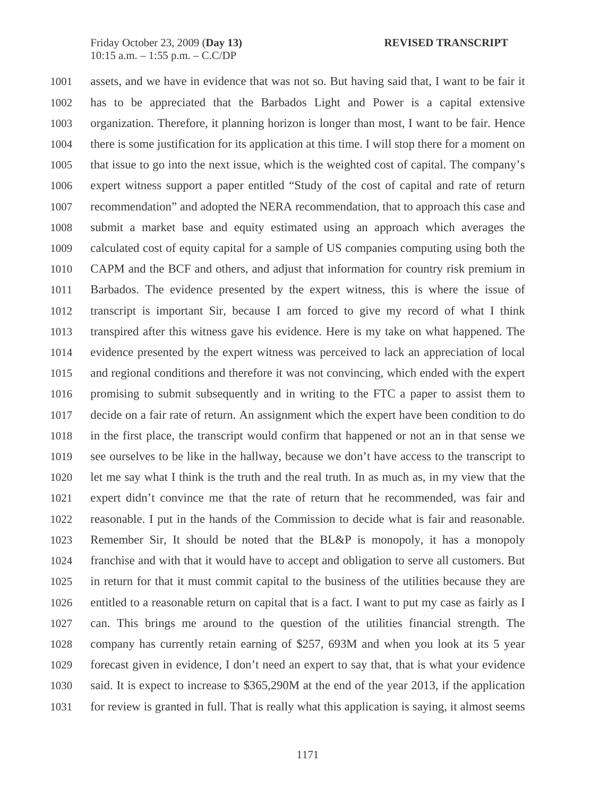1001 assets, and we have in evidence that was not so. But having said that, I want to be fair it 1002 has to be appreciated that the Barbados Light and Power is a capital extensive 1003 organization. Therefore, it planning horizon is longer than most, I want to be fair. Hence 1004 there is some justification for its application at this time. I will stop there for a moment on 1005 that issue to go into the next issue, which is the weighted cost of capital. The company's 1006 expert witness support a paper entitled "Study of the cost of capital and rate of return 1007 recommendation" and adopted the NERA recommendation, that to approach this case and 1008 submit a market base and equity estimated using an approach which averages the 1009 calculated cost of equity capital for a sample of US companies computing using both the 1010 CAPM and the BCF and others, and adjust that information for country risk premium in 1011 Barbados. The evidence presented by the expert witness, this is where the issue of 1012 transcript is important Sir, because I am forced to give my record of what I think 1013 transpired after this witness gave his evidence. Here is my take on what happened. The 1014 evidence presented by the expert witness was perceived to lack an appreciation of local 1015 and regional conditions and therefore it was not convincing, which ended with the expert 1016 promising to submit subsequently and in writing to the FTC a paper to assist them to 1017 decide on a fair rate of return. An assignment which the expert have been condition to do 1018 in the first place, the transcript would confirm that happened or not an in that sense we 1019 see ourselves to be like in the hallway, because we don't have access to the transcript to 1020 let me say what I think is the truth and the real truth. In as much as, in my view that the 1021 expert didn't convince me that the rate of return that he recommended, was fair and 1022 reasonable. I put in the hands of the Commission to decide what is fair and reasonable. 1023 Remember Sir, It should be noted that the BL&P is monopoly, it has a monopoly 1024 franchise and with that it would have to accept and obligation to serve all customers. But 1025 in return for that it must commit capital to the business of the utilities because they are 1026 entitled to a reasonable return on capital that is a fact. I want to put my case as fairly as I 1027 can. This brings me around to the question of the utilities financial strength. The 1028 company has currently retain earning of \$257, 693M and when you look at its 5 year 1029 forecast given in evidence, I don't need an expert to say that, that is what your evidence 1030 said. It is expect to increase to \$365,290M at the end of the year 2013, if the application 1031 for review is granted in full. That is really what this application is saying, it almost seems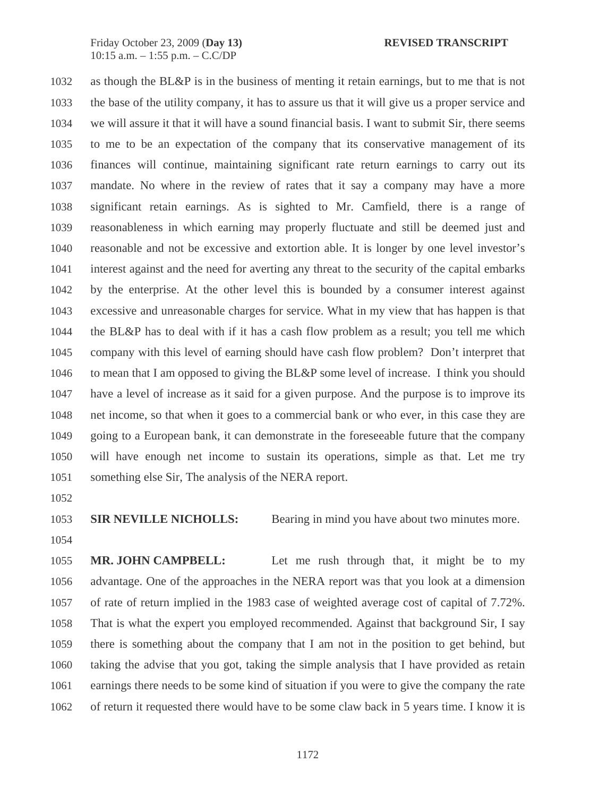1032 as though the BL&P is in the business of menting it retain earnings, but to me that is not 1033 the base of the utility company, it has to assure us that it will give us a proper service and 1034 we will assure it that it will have a sound financial basis. I want to submit Sir, there seems 1035 to me to be an expectation of the company that its conservative management of its 1036 finances will continue, maintaining significant rate return earnings to carry out its 1037 mandate. No where in the review of rates that it say a company may have a more 1038 significant retain earnings. As is sighted to Mr. Camfield, there is a range of 1039 reasonableness in which earning may properly fluctuate and still be deemed just and 1040 reasonable and not be excessive and extortion able. It is longer by one level investor's 1041 interest against and the need for averting any threat to the security of the capital embarks 1042 by the enterprise. At the other level this is bounded by a consumer interest against 1043 excessive and unreasonable charges for service. What in my view that has happen is that 1044 the BL&P has to deal with if it has a cash flow problem as a result; you tell me which 1045 company with this level of earning should have cash flow problem? Don't interpret that 1046 to mean that I am opposed to giving the BL&P some level of increase. I think you should 1047 have a level of increase as it said for a given purpose. And the purpose is to improve its 1048 net income, so that when it goes to a commercial bank or who ever, in this case they are 1049 going to a European bank, it can demonstrate in the foreseeable future that the company 1050 will have enough net income to sustain its operations, simple as that. Let me try 1051 something else Sir, The analysis of the NERA report.

1052

1053 **SIR NEVILLE NICHOLLS:** Bearing in mind you have about two minutes more.

1054

1055 **MR. JOHN CAMPBELL:** Let me rush through that, it might be to my 1056 advantage. One of the approaches in the NERA report was that you look at a dimension 1057 of rate of return implied in the 1983 case of weighted average cost of capital of 7.72%. 1058 That is what the expert you employed recommended. Against that background Sir, I say 1059 there is something about the company that I am not in the position to get behind, but 1060 taking the advise that you got, taking the simple analysis that I have provided as retain 1061 earnings there needs to be some kind of situation if you were to give the company the rate 1062 of return it requested there would have to be some claw back in 5 years time. I know it is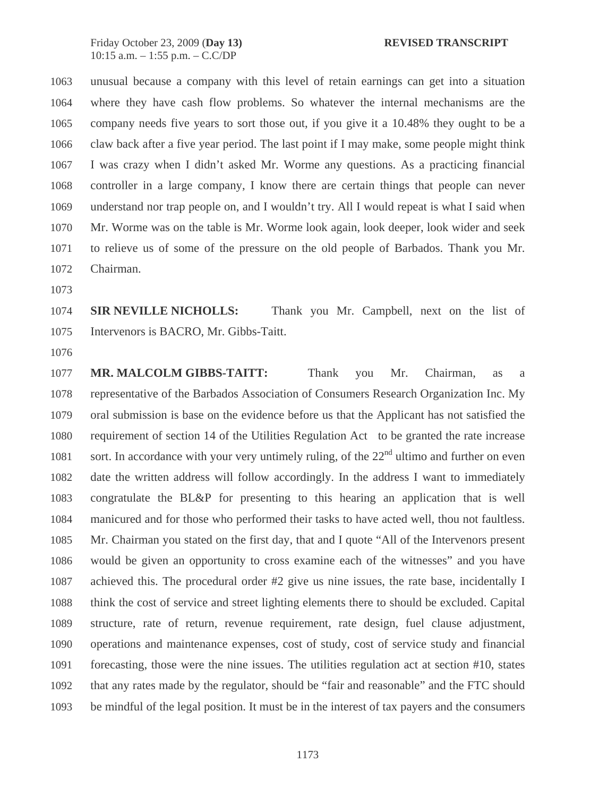1063 unusual because a company with this level of retain earnings can get into a situation 1064 where they have cash flow problems. So whatever the internal mechanisms are the 1065 company needs five years to sort those out, if you give it a 10.48% they ought to be a 1066 claw back after a five year period. The last point if I may make, some people might think 1067 I was crazy when I didn't asked Mr. Worme any questions. As a practicing financial 1068 controller in a large company, I know there are certain things that people can never 1069 understand nor trap people on, and I wouldn't try. All I would repeat is what I said when 1070 Mr. Worme was on the table is Mr. Worme look again, look deeper, look wider and seek 1071 to relieve us of some of the pressure on the old people of Barbados. Thank you Mr. 1072 Chairman.

1073

1074 **SIR NEVILLE NICHOLLS:** Thank you Mr. Campbell, next on the list of 1075 Intervenors is BACRO, Mr. Gibbs-Taitt.

1076

1077 **MR. MALCOLM GIBBS-TAITT:** Thank you Mr. Chairman, as a 1078 representative of the Barbados Association of Consumers Research Organization Inc. My 1079 oral submission is base on the evidence before us that the Applicant has not satisfied the 1080 requirement of section 14 of the Utilities Regulation Act to be granted the rate increase 1081 sort. In accordance with your very untimely ruling, of the  $22<sup>nd</sup>$  ultimo and further on even 1082 date the written address will follow accordingly. In the address I want to immediately 1083 congratulate the BL&P for presenting to this hearing an application that is well 1084 manicured and for those who performed their tasks to have acted well, thou not faultless. 1085 Mr. Chairman you stated on the first day, that and I quote "All of the Intervenors present 1086 would be given an opportunity to cross examine each of the witnesses" and you have 1087 achieved this. The procedural order #2 give us nine issues, the rate base, incidentally I 1088 think the cost of service and street lighting elements there to should be excluded. Capital 1089 structure, rate of return, revenue requirement, rate design, fuel clause adjustment, 1090 operations and maintenance expenses, cost of study, cost of service study and financial 1091 forecasting, those were the nine issues. The utilities regulation act at section #10, states 1092 that any rates made by the regulator, should be "fair and reasonable" and the FTC should 1093 be mindful of the legal position. It must be in the interest of tax payers and the consumers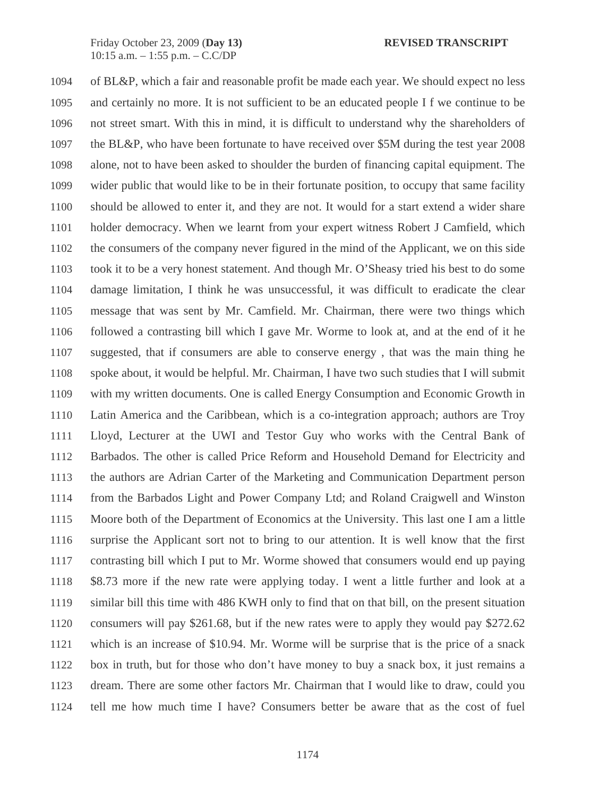1094 of BL&P, which a fair and reasonable profit be made each year. We should expect no less 1095 and certainly no more. It is not sufficient to be an educated people I f we continue to be 1096 not street smart. With this in mind, it is difficult to understand why the shareholders of 1097 the BL&P, who have been fortunate to have received over \$5M during the test year 2008 1098 alone, not to have been asked to shoulder the burden of financing capital equipment. The 1099 wider public that would like to be in their fortunate position, to occupy that same facility 1100 should be allowed to enter it, and they are not. It would for a start extend a wider share 1101 holder democracy. When we learnt from your expert witness Robert J Camfield, which 1102 the consumers of the company never figured in the mind of the Applicant, we on this side 1103 took it to be a very honest statement. And though Mr. O'Sheasy tried his best to do some 1104 damage limitation, I think he was unsuccessful, it was difficult to eradicate the clear 1105 message that was sent by Mr. Camfield. Mr. Chairman, there were two things which 1106 followed a contrasting bill which I gave Mr. Worme to look at, and at the end of it he 1107 suggested, that if consumers are able to conserve energy , that was the main thing he 1108 spoke about, it would be helpful. Mr. Chairman, I have two such studies that I will submit 1109 with my written documents. One is called Energy Consumption and Economic Growth in 1110 Latin America and the Caribbean, which is a co-integration approach; authors are Troy 1111 Lloyd, Lecturer at the UWI and Testor Guy who works with the Central Bank of 1112 Barbados. The other is called Price Reform and Household Demand for Electricity and 1113 the authors are Adrian Carter of the Marketing and Communication Department person 1114 from the Barbados Light and Power Company Ltd; and Roland Craigwell and Winston 1115 Moore both of the Department of Economics at the University. This last one I am a little 1116 surprise the Applicant sort not to bring to our attention. It is well know that the first 1117 contrasting bill which I put to Mr. Worme showed that consumers would end up paying 1118 \$8.73 more if the new rate were applying today. I went a little further and look at a 1119 similar bill this time with 486 KWH only to find that on that bill, on the present situation 1120 consumers will pay \$261.68, but if the new rates were to apply they would pay \$272.62 1121 which is an increase of \$10.94. Mr. Worme will be surprise that is the price of a snack 1122 box in truth, but for those who don't have money to buy a snack box, it just remains a 1123 dream. There are some other factors Mr. Chairman that I would like to draw, could you 1124 tell me how much time I have? Consumers better be aware that as the cost of fuel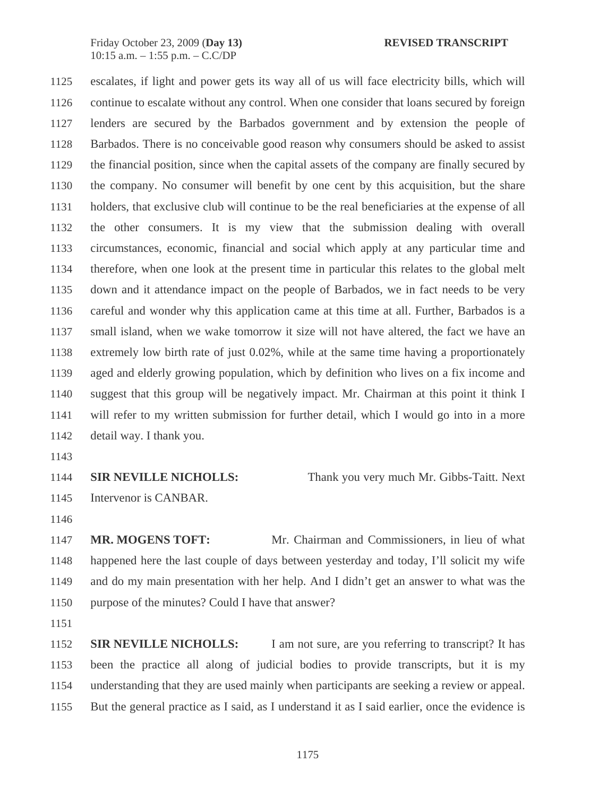1125 escalates, if light and power gets its way all of us will face electricity bills, which will 1126 continue to escalate without any control. When one consider that loans secured by foreign 1127 lenders are secured by the Barbados government and by extension the people of 1128 Barbados. There is no conceivable good reason why consumers should be asked to assist 1129 the financial position, since when the capital assets of the company are finally secured by 1130 the company. No consumer will benefit by one cent by this acquisition, but the share 1131 holders, that exclusive club will continue to be the real beneficiaries at the expense of all 1132 the other consumers. It is my view that the submission dealing with overall 1133 circumstances, economic, financial and social which apply at any particular time and 1134 therefore, when one look at the present time in particular this relates to the global melt 1135 down and it attendance impact on the people of Barbados, we in fact needs to be very 1136 careful and wonder why this application came at this time at all. Further, Barbados is a 1137 small island, when we wake tomorrow it size will not have altered, the fact we have an 1138 extremely low birth rate of just 0.02%, while at the same time having a proportionately 1139 aged and elderly growing population, which by definition who lives on a fix income and 1140 suggest that this group will be negatively impact. Mr. Chairman at this point it think I 1141 will refer to my written submission for further detail, which I would go into in a more 1142 detail way. I thank you.

1143

1145 Intervenor is CANBAR.

1144 **SIR NEVILLE NICHOLLS:** Thank you very much Mr. Gibbs-Taitt. Next

1146

1147 **MR. MOGENS TOFT:** Mr. Chairman and Commissioners, in lieu of what 1148 happened here the last couple of days between yesterday and today, I'll solicit my wife 1149 and do my main presentation with her help. And I didn't get an answer to what was the 1150 purpose of the minutes? Could I have that answer?

1151

1152 **SIR NEVILLE NICHOLLS:** I am not sure, are you referring to transcript? It has 1153 been the practice all along of judicial bodies to provide transcripts, but it is my 1154 understanding that they are used mainly when participants are seeking a review or appeal. 1155 But the general practice as I said, as I understand it as I said earlier, once the evidence is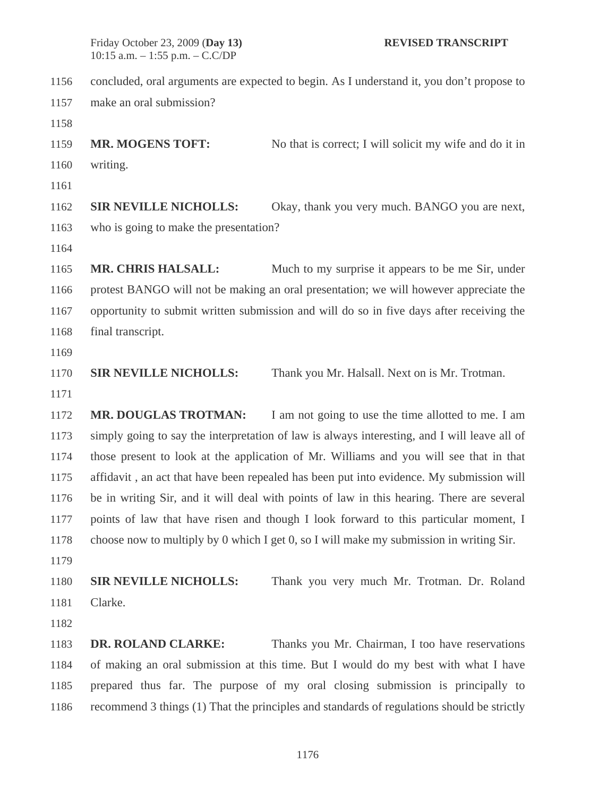1156 concluded, oral arguments are expected to begin. As I understand it, you don't propose to 1157 make an oral submission? 1158 1159 **MR. MOGENS TOFT:** No that is correct; I will solicit my wife and do it in 1160 writing.

1161

1162 **SIR NEVILLE NICHOLLS:** Okay, thank you very much. BANGO you are next, 1163 who is going to make the presentation?

1164

1165 **MR. CHRIS HALSALL:** Much to my surprise it appears to be me Sir, under 1166 protest BANGO will not be making an oral presentation; we will however appreciate the 1167 opportunity to submit written submission and will do so in five days after receiving the 1168 final transcript.

1169

1170 **SIR NEVILLE NICHOLLS:** Thank you Mr. Halsall. Next on is Mr. Trotman.

1171

1172 **MR. DOUGLAS TROTMAN:** I am not going to use the time allotted to me. I am 1173 simply going to say the interpretation of law is always interesting, and I will leave all of 1174 those present to look at the application of Mr. Williams and you will see that in that 1175 affidavit , an act that have been repealed has been put into evidence. My submission will 1176 be in writing Sir, and it will deal with points of law in this hearing. There are several 1177 points of law that have risen and though I look forward to this particular moment, I 1178 choose now to multiply by 0 which I get 0, so I will make my submission in writing Sir.

1179

1180 **SIR NEVILLE NICHOLLS:** Thank you very much Mr. Trotman. Dr. Roland 1181 Clarke.

1182

1183 **DR. ROLAND CLARKE:** Thanks you Mr. Chairman, I too have reservations 1184 of making an oral submission at this time. But I would do my best with what I have 1185 prepared thus far. The purpose of my oral closing submission is principally to 1186 recommend 3 things (1) That the principles and standards of regulations should be strictly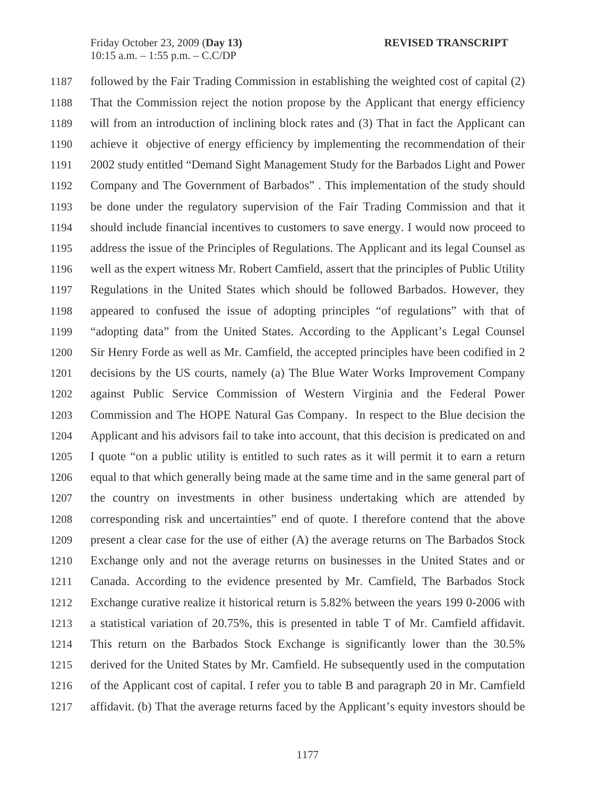1187 followed by the Fair Trading Commission in establishing the weighted cost of capital (2) 1188 That the Commission reject the notion propose by the Applicant that energy efficiency 1189 will from an introduction of inclining block rates and (3) That in fact the Applicant can 1190 achieve it objective of energy efficiency by implementing the recommendation of their 1191 2002 study entitled "Demand Sight Management Study for the Barbados Light and Power 1192 Company and The Government of Barbados" . This implementation of the study should 1193 be done under the regulatory supervision of the Fair Trading Commission and that it 1194 should include financial incentives to customers to save energy. I would now proceed to 1195 address the issue of the Principles of Regulations. The Applicant and its legal Counsel as 1196 well as the expert witness Mr. Robert Camfield, assert that the principles of Public Utility 1197 Regulations in the United States which should be followed Barbados. However, they 1198 appeared to confused the issue of adopting principles "of regulations" with that of 1199 "adopting data" from the United States. According to the Applicant's Legal Counsel 1200 Sir Henry Forde as well as Mr. Camfield, the accepted principles have been codified in 2 1201 decisions by the US courts, namely (a) The Blue Water Works Improvement Company 1202 against Public Service Commission of Western Virginia and the Federal Power 1203 Commission and The HOPE Natural Gas Company. In respect to the Blue decision the 1204 Applicant and his advisors fail to take into account, that this decision is predicated on and 1205 I quote "on a public utility is entitled to such rates as it will permit it to earn a return 1206 equal to that which generally being made at the same time and in the same general part of 1207 the country on investments in other business undertaking which are attended by 1208 corresponding risk and uncertainties" end of quote. I therefore contend that the above 1209 present a clear case for the use of either (A) the average returns on The Barbados Stock 1210 Exchange only and not the average returns on businesses in the United States and or 1211 Canada. According to the evidence presented by Mr. Camfield, The Barbados Stock 1212 Exchange curative realize it historical return is 5.82% between the years 199 0-2006 with 1213 a statistical variation of 20.75%, this is presented in table T of Mr. Camfield affidavit. 1214 This return on the Barbados Stock Exchange is significantly lower than the 30.5% 1215 derived for the United States by Mr. Camfield. He subsequently used in the computation 1216 of the Applicant cost of capital. I refer you to table B and paragraph 20 in Mr. Camfield 1217 affidavit. (b) That the average returns faced by the Applicant's equity investors should be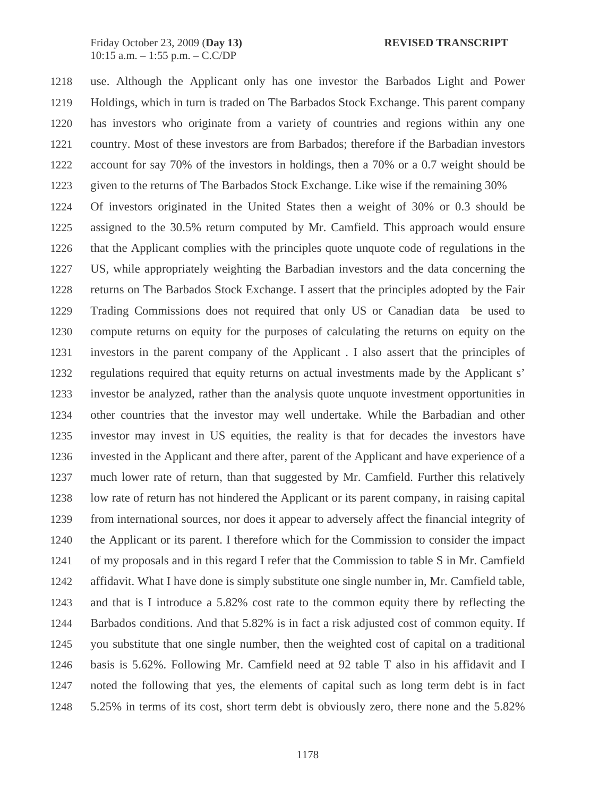1218 use. Although the Applicant only has one investor the Barbados Light and Power 1219 Holdings, which in turn is traded on The Barbados Stock Exchange. This parent company 1220 has investors who originate from a variety of countries and regions within any one 1221 country. Most of these investors are from Barbados; therefore if the Barbadian investors 1222 account for say 70% of the investors in holdings, then a 70% or a 0.7 weight should be 1223 given to the returns of The Barbados Stock Exchange. Like wise if the remaining 30% 1224 Of investors originated in the United States then a weight of 30% or 0.3 should be 1225 assigned to the 30.5% return computed by Mr. Camfield. This approach would ensure 1226 that the Applicant complies with the principles quote unquote code of regulations in the 1227 US, while appropriately weighting the Barbadian investors and the data concerning the 1228 returns on The Barbados Stock Exchange. I assert that the principles adopted by the Fair 1229 Trading Commissions does not required that only US or Canadian data be used to 1230 compute returns on equity for the purposes of calculating the returns on equity on the 1231 investors in the parent company of the Applicant . I also assert that the principles of 1232 regulations required that equity returns on actual investments made by the Applicant s' 1233 investor be analyzed, rather than the analysis quote unquote investment opportunities in 1234 other countries that the investor may well undertake. While the Barbadian and other 1235 investor may invest in US equities, the reality is that for decades the investors have 1236 invested in the Applicant and there after, parent of the Applicant and have experience of a 1237 much lower rate of return, than that suggested by Mr. Camfield. Further this relatively 1238 low rate of return has not hindered the Applicant or its parent company, in raising capital 1239 from international sources, nor does it appear to adversely affect the financial integrity of 1240 the Applicant or its parent. I therefore which for the Commission to consider the impact 1241 of my proposals and in this regard I refer that the Commission to table S in Mr. Camfield 1242 affidavit. What I have done is simply substitute one single number in, Mr. Camfield table, 1243 and that is I introduce a 5.82% cost rate to the common equity there by reflecting the 1244 Barbados conditions. And that 5.82% is in fact a risk adjusted cost of common equity. If 1245 you substitute that one single number, then the weighted cost of capital on a traditional 1246 basis is 5.62%. Following Mr. Camfield need at 92 table T also in his affidavit and I 1247 noted the following that yes, the elements of capital such as long term debt is in fact 1248 5.25% in terms of its cost, short term debt is obviously zero, there none and the 5.82%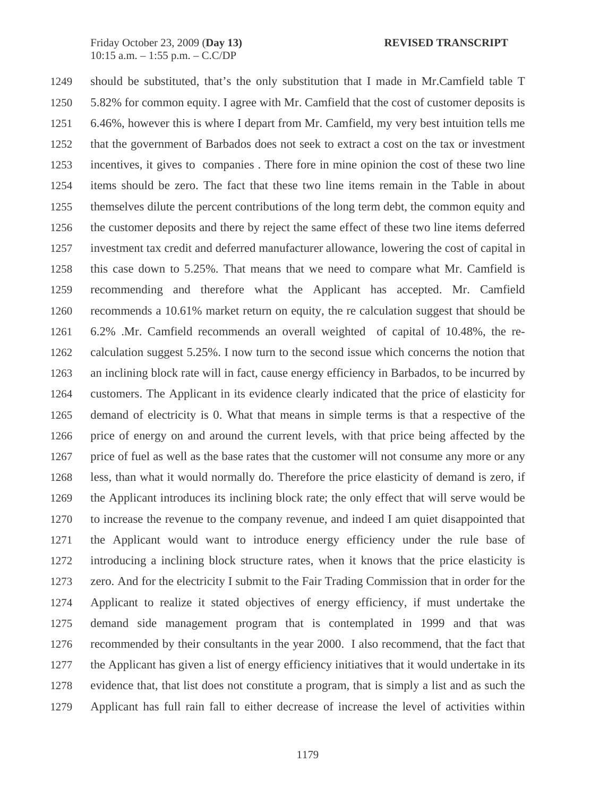1249 should be substituted, that's the only substitution that I made in Mr.Camfield table T 1250 5.82% for common equity. I agree with Mr. Camfield that the cost of customer deposits is 1251 6.46%, however this is where I depart from Mr. Camfield, my very best intuition tells me 1252 that the government of Barbados does not seek to extract a cost on the tax or investment 1253 incentives, it gives to companies . There fore in mine opinion the cost of these two line 1254 items should be zero. The fact that these two line items remain in the Table in about 1255 themselves dilute the percent contributions of the long term debt, the common equity and 1256 the customer deposits and there by reject the same effect of these two line items deferred 1257 investment tax credit and deferred manufacturer allowance, lowering the cost of capital in 1258 this case down to 5.25%. That means that we need to compare what Mr. Camfield is 1259 recommending and therefore what the Applicant has accepted. Mr. Camfield 1260 recommends a 10.61% market return on equity, the re calculation suggest that should be 1261 6.2% .Mr. Camfield recommends an overall weighted of capital of 10.48%, the re-1262 calculation suggest 5.25%. I now turn to the second issue which concerns the notion that 1263 an inclining block rate will in fact, cause energy efficiency in Barbados, to be incurred by 1264 customers. The Applicant in its evidence clearly indicated that the price of elasticity for 1265 demand of electricity is 0. What that means in simple terms is that a respective of the 1266 price of energy on and around the current levels, with that price being affected by the 1267 price of fuel as well as the base rates that the customer will not consume any more or any 1268 less, than what it would normally do. Therefore the price elasticity of demand is zero, if 1269 the Applicant introduces its inclining block rate; the only effect that will serve would be 1270 to increase the revenue to the company revenue, and indeed I am quiet disappointed that 1271 the Applicant would want to introduce energy efficiency under the rule base of 1272 introducing a inclining block structure rates, when it knows that the price elasticity is 1273 zero. And for the electricity I submit to the Fair Trading Commission that in order for the 1274 Applicant to realize it stated objectives of energy efficiency, if must undertake the 1275 demand side management program that is contemplated in 1999 and that was 1276 recommended by their consultants in the year 2000. I also recommend, that the fact that 1277 the Applicant has given a list of energy efficiency initiatives that it would undertake in its 1278 evidence that, that list does not constitute a program, that is simply a list and as such the 1279 Applicant has full rain fall to either decrease of increase the level of activities within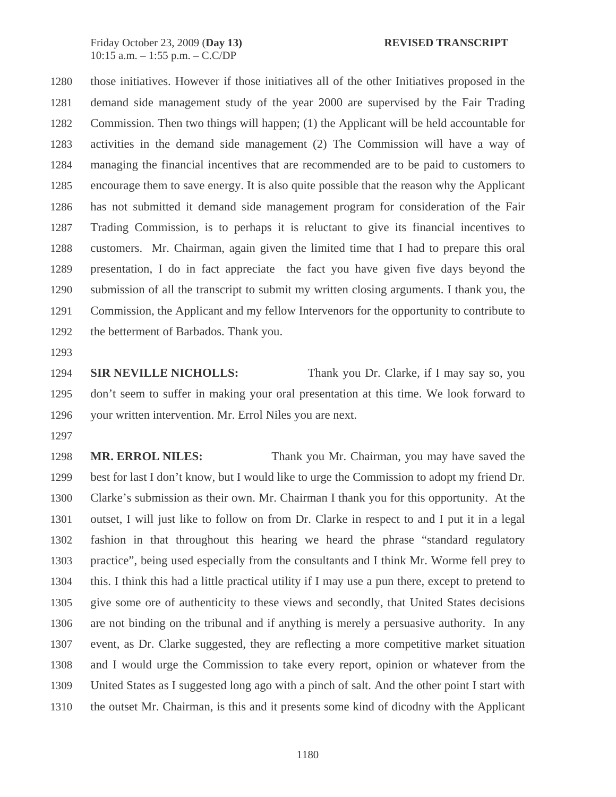1280 those initiatives. However if those initiatives all of the other Initiatives proposed in the 1281 demand side management study of the year 2000 are supervised by the Fair Trading 1282 Commission. Then two things will happen; (1) the Applicant will be held accountable for 1283 activities in the demand side management (2) The Commission will have a way of 1284 managing the financial incentives that are recommended are to be paid to customers to 1285 encourage them to save energy. It is also quite possible that the reason why the Applicant 1286 has not submitted it demand side management program for consideration of the Fair 1287 Trading Commission, is to perhaps it is reluctant to give its financial incentives to 1288 customers. Mr. Chairman, again given the limited time that I had to prepare this oral 1289 presentation, I do in fact appreciate the fact you have given five days beyond the 1290 submission of all the transcript to submit my written closing arguments. I thank you, the 1291 Commission, the Applicant and my fellow Intervenors for the opportunity to contribute to 1292 the betterment of Barbados. Thank you.

1293

1294 **SIR NEVILLE NICHOLLS:** Thank you Dr. Clarke, if I may say so, you 1295 don't seem to suffer in making your oral presentation at this time. We look forward to 1296 your written intervention. Mr. Errol Niles you are next.

1297

1298 **MR. ERROL NILES:** Thank you Mr. Chairman, you may have saved the 1299 best for last I don't know, but I would like to urge the Commission to adopt my friend Dr. 1300 Clarke's submission as their own. Mr. Chairman I thank you for this opportunity. At the 1301 outset, I will just like to follow on from Dr. Clarke in respect to and I put it in a legal 1302 fashion in that throughout this hearing we heard the phrase "standard regulatory 1303 practice", being used especially from the consultants and I think Mr. Worme fell prey to 1304 this. I think this had a little practical utility if I may use a pun there, except to pretend to 1305 give some ore of authenticity to these views and secondly, that United States decisions 1306 are not binding on the tribunal and if anything is merely a persuasive authority. In any 1307 event, as Dr. Clarke suggested, they are reflecting a more competitive market situation 1308 and I would urge the Commission to take every report, opinion or whatever from the 1309 United States as I suggested long ago with a pinch of salt. And the other point I start with 1310 the outset Mr. Chairman, is this and it presents some kind of dicodny with the Applicant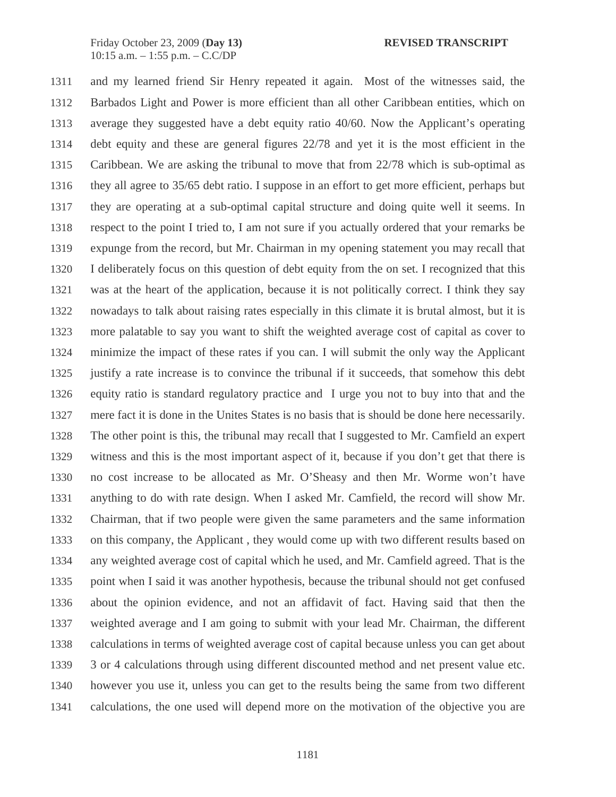1311 and my learned friend Sir Henry repeated it again. Most of the witnesses said, the 1312 Barbados Light and Power is more efficient than all other Caribbean entities, which on 1313 average they suggested have a debt equity ratio 40/60. Now the Applicant's operating 1314 debt equity and these are general figures 22/78 and yet it is the most efficient in the 1315 Caribbean. We are asking the tribunal to move that from 22/78 which is sub-optimal as 1316 they all agree to 35/65 debt ratio. I suppose in an effort to get more efficient, perhaps but 1317 they are operating at a sub-optimal capital structure and doing quite well it seems. In 1318 respect to the point I tried to, I am not sure if you actually ordered that your remarks be 1319 expunge from the record, but Mr. Chairman in my opening statement you may recall that 1320 I deliberately focus on this question of debt equity from the on set. I recognized that this 1321 was at the heart of the application, because it is not politically correct. I think they say 1322 nowadays to talk about raising rates especially in this climate it is brutal almost, but it is 1323 more palatable to say you want to shift the weighted average cost of capital as cover to 1324 minimize the impact of these rates if you can. I will submit the only way the Applicant 1325 justify a rate increase is to convince the tribunal if it succeeds, that somehow this debt 1326 equity ratio is standard regulatory practice and I urge you not to buy into that and the 1327 mere fact it is done in the Unites States is no basis that is should be done here necessarily. 1328 The other point is this, the tribunal may recall that I suggested to Mr. Camfield an expert 1329 witness and this is the most important aspect of it, because if you don't get that there is 1330 no cost increase to be allocated as Mr. O'Sheasy and then Mr. Worme won't have 1331 anything to do with rate design. When I asked Mr. Camfield, the record will show Mr. 1332 Chairman, that if two people were given the same parameters and the same information 1333 on this company, the Applicant , they would come up with two different results based on 1334 any weighted average cost of capital which he used, and Mr. Camfield agreed. That is the 1335 point when I said it was another hypothesis, because the tribunal should not get confused 1336 about the opinion evidence, and not an affidavit of fact. Having said that then the 1337 weighted average and I am going to submit with your lead Mr. Chairman, the different 1338 calculations in terms of weighted average cost of capital because unless you can get about 1339 3 or 4 calculations through using different discounted method and net present value etc. 1340 however you use it, unless you can get to the results being the same from two different 1341 calculations, the one used will depend more on the motivation of the objective you are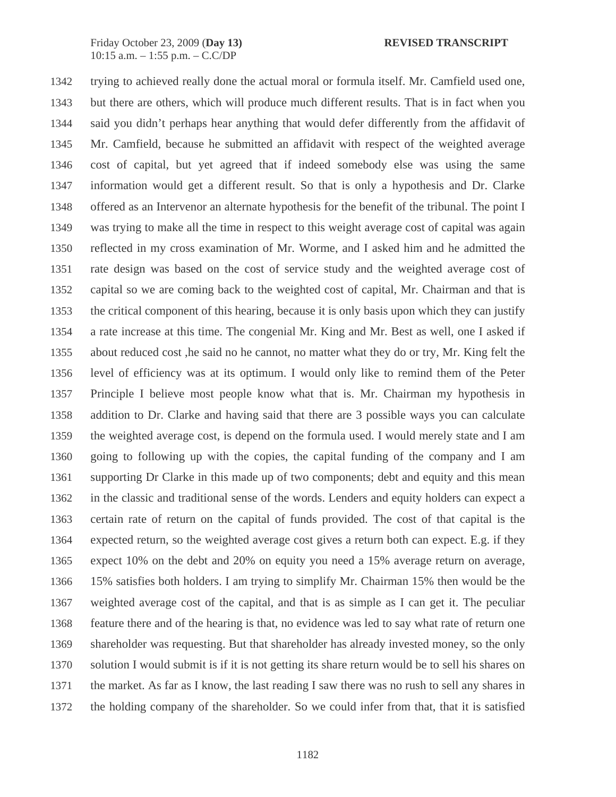1342 trying to achieved really done the actual moral or formula itself. Mr. Camfield used one, 1343 but there are others, which will produce much different results. That is in fact when you 1344 said you didn't perhaps hear anything that would defer differently from the affidavit of 1345 Mr. Camfield, because he submitted an affidavit with respect of the weighted average 1346 cost of capital, but yet agreed that if indeed somebody else was using the same 1347 information would get a different result. So that is only a hypothesis and Dr. Clarke 1348 offered as an Intervenor an alternate hypothesis for the benefit of the tribunal. The point I 1349 was trying to make all the time in respect to this weight average cost of capital was again 1350 reflected in my cross examination of Mr. Worme, and I asked him and he admitted the 1351 rate design was based on the cost of service study and the weighted average cost of 1352 capital so we are coming back to the weighted cost of capital, Mr. Chairman and that is 1353 the critical component of this hearing, because it is only basis upon which they can justify 1354 a rate increase at this time. The congenial Mr. King and Mr. Best as well, one I asked if 1355 about reduced cost ,he said no he cannot, no matter what they do or try, Mr. King felt the 1356 level of efficiency was at its optimum. I would only like to remind them of the Peter 1357 Principle I believe most people know what that is. Mr. Chairman my hypothesis in 1358 addition to Dr. Clarke and having said that there are 3 possible ways you can calculate 1359 the weighted average cost, is depend on the formula used. I would merely state and I am 1360 going to following up with the copies, the capital funding of the company and I am 1361 supporting Dr Clarke in this made up of two components; debt and equity and this mean 1362 in the classic and traditional sense of the words. Lenders and equity holders can expect a 1363 certain rate of return on the capital of funds provided. The cost of that capital is the 1364 expected return, so the weighted average cost gives a return both can expect. E.g. if they 1365 expect 10% on the debt and 20% on equity you need a 15% average return on average, 1366 15% satisfies both holders. I am trying to simplify Mr. Chairman 15% then would be the 1367 weighted average cost of the capital, and that is as simple as I can get it. The peculiar 1368 feature there and of the hearing is that, no evidence was led to say what rate of return one 1369 shareholder was requesting. But that shareholder has already invested money, so the only 1370 solution I would submit is if it is not getting its share return would be to sell his shares on 1371 the market. As far as I know, the last reading I saw there was no rush to sell any shares in 1372 the holding company of the shareholder. So we could infer from that, that it is satisfied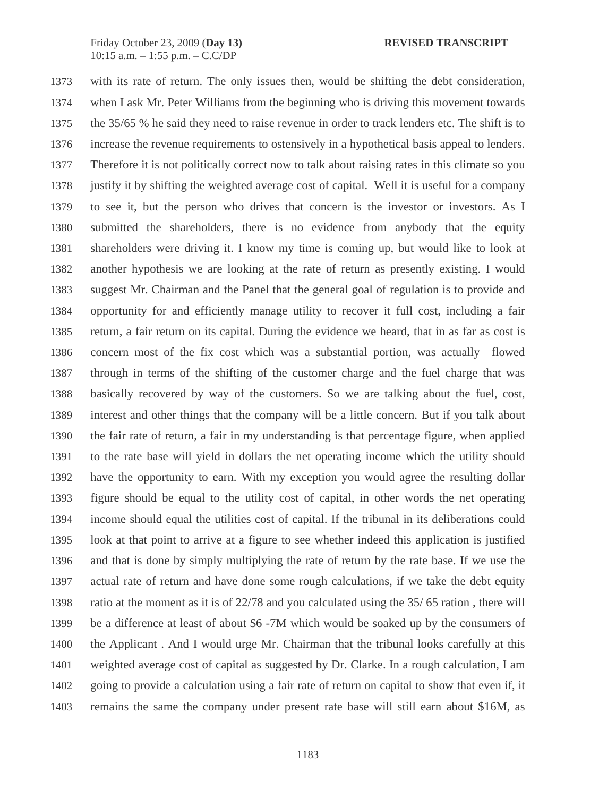1373 with its rate of return. The only issues then, would be shifting the debt consideration, 1374 when I ask Mr. Peter Williams from the beginning who is driving this movement towards 1375 the 35/65 % he said they need to raise revenue in order to track lenders etc. The shift is to 1376 increase the revenue requirements to ostensively in a hypothetical basis appeal to lenders. 1377 Therefore it is not politically correct now to talk about raising rates in this climate so you 1378 justify it by shifting the weighted average cost of capital. Well it is useful for a company 1379 to see it, but the person who drives that concern is the investor or investors. As I 1380 submitted the shareholders, there is no evidence from anybody that the equity 1381 shareholders were driving it. I know my time is coming up, but would like to look at 1382 another hypothesis we are looking at the rate of return as presently existing. I would 1383 suggest Mr. Chairman and the Panel that the general goal of regulation is to provide and 1384 opportunity for and efficiently manage utility to recover it full cost, including a fair 1385 return, a fair return on its capital. During the evidence we heard, that in as far as cost is 1386 concern most of the fix cost which was a substantial portion, was actually flowed 1387 through in terms of the shifting of the customer charge and the fuel charge that was 1388 basically recovered by way of the customers. So we are talking about the fuel, cost, 1389 interest and other things that the company will be a little concern. But if you talk about 1390 the fair rate of return, a fair in my understanding is that percentage figure, when applied 1391 to the rate base will yield in dollars the net operating income which the utility should 1392 have the opportunity to earn. With my exception you would agree the resulting dollar 1393 figure should be equal to the utility cost of capital, in other words the net operating 1394 income should equal the utilities cost of capital. If the tribunal in its deliberations could 1395 look at that point to arrive at a figure to see whether indeed this application is justified 1396 and that is done by simply multiplying the rate of return by the rate base. If we use the 1397 actual rate of return and have done some rough calculations, if we take the debt equity 1398 ratio at the moment as it is of 22/78 and you calculated using the 35/ 65 ration , there will 1399 be a difference at least of about \$6 -7M which would be soaked up by the consumers of 1400 the Applicant . And I would urge Mr. Chairman that the tribunal looks carefully at this 1401 weighted average cost of capital as suggested by Dr. Clarke. In a rough calculation, I am 1402 going to provide a calculation using a fair rate of return on capital to show that even if, it 1403 remains the same the company under present rate base will still earn about \$16M, as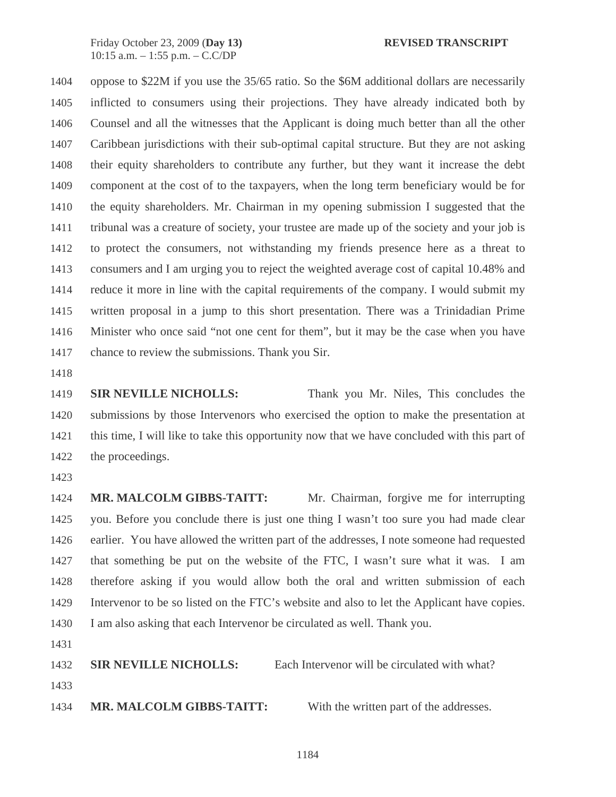1404 oppose to \$22M if you use the 35/65 ratio. So the \$6M additional dollars are necessarily 1405 inflicted to consumers using their projections. They have already indicated both by 1406 Counsel and all the witnesses that the Applicant is doing much better than all the other 1407 Caribbean jurisdictions with their sub-optimal capital structure. But they are not asking 1408 their equity shareholders to contribute any further, but they want it increase the debt 1409 component at the cost of to the taxpayers, when the long term beneficiary would be for 1410 the equity shareholders. Mr. Chairman in my opening submission I suggested that the 1411 tribunal was a creature of society, your trustee are made up of the society and your job is 1412 to protect the consumers, not withstanding my friends presence here as a threat to 1413 consumers and I am urging you to reject the weighted average cost of capital 10.48% and 1414 reduce it more in line with the capital requirements of the company. I would submit my 1415 written proposal in a jump to this short presentation. There was a Trinidadian Prime 1416 Minister who once said "not one cent for them", but it may be the case when you have 1417 chance to review the submissions. Thank you Sir.

1418

1419 **SIR NEVILLE NICHOLLS:** Thank you Mr. Niles, This concludes the 1420 submissions by those Intervenors who exercised the option to make the presentation at 1421 this time, I will like to take this opportunity now that we have concluded with this part of 1422 the proceedings.

1423

1424 **MR. MALCOLM GIBBS-TAITT:** Mr. Chairman, forgive me for interrupting 1425 you. Before you conclude there is just one thing I wasn't too sure you had made clear 1426 earlier. You have allowed the written part of the addresses, I note someone had requested 1427 that something be put on the website of the FTC, I wasn't sure what it was. I am 1428 therefore asking if you would allow both the oral and written submission of each 1429 Intervenor to be so listed on the FTC's website and also to let the Applicant have copies. 1430 I am also asking that each Intervenor be circulated as well. Thank you.

1431

1432 **SIR NEVILLE NICHOLLS:** Each Intervenor will be circulated with what? 1433 1434 **MR. MALCOLM GIBBS-TAITT:** With the written part of the addresses.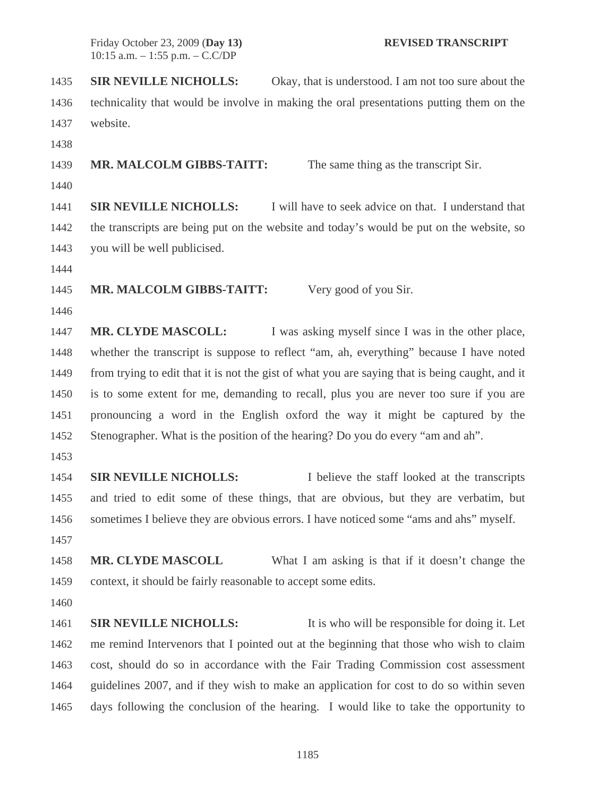1435 **SIR NEVILLE NICHOLLS:** Okay, that is understood. I am not too sure about the 1436 technicality that would be involve in making the oral presentations putting them on the 1437 website.

1438

1439 **MR. MALCOLM GIBBS-TAITT:** The same thing as the transcript Sir.

1440

1441 **SIR NEVILLE NICHOLLS:** I will have to seek advice on that. I understand that 1442 the transcripts are being put on the website and today's would be put on the website, so 1443 you will be well publicised.

1444

1445 **MR. MALCOLM GIBBS-TAITT:** Very good of you Sir.

1446

1447 **MR. CLYDE MASCOLL:** I was asking myself since I was in the other place, 1448 whether the transcript is suppose to reflect "am, ah, everything" because I have noted 1449 from trying to edit that it is not the gist of what you are saying that is being caught, and it 1450 is to some extent for me, demanding to recall, plus you are never too sure if you are 1451 pronouncing a word in the English oxford the way it might be captured by the 1452 Stenographer. What is the position of the hearing? Do you do every "am and ah".

1453

1454 **SIR NEVILLE NICHOLLS:** I believe the staff looked at the transcripts 1455 and tried to edit some of these things, that are obvious, but they are verbatim, but 1456 sometimes I believe they are obvious errors. I have noticed some "ams and ahs" myself. 1457

1458 **MR. CLYDE MASCOLL** What I am asking is that if it doesn't change the 1459 context, it should be fairly reasonable to accept some edits.

1460

1461 **SIR NEVILLE NICHOLLS:** It is who will be responsible for doing it. Let 1462 me remind Intervenors that I pointed out at the beginning that those who wish to claim 1463 cost, should do so in accordance with the Fair Trading Commission cost assessment 1464 guidelines 2007, and if they wish to make an application for cost to do so within seven 1465 days following the conclusion of the hearing. I would like to take the opportunity to